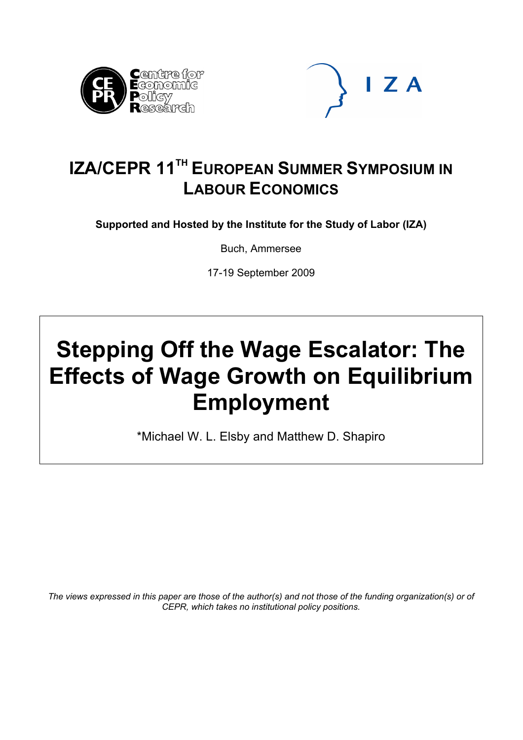



## **IZA/CEPR 11<sup>TH</sup> EUROPEAN SUMMER SYMPOSIUM IN LABOUR ECONOMICS**

**Supported and Hosted by the Institute for the Study of Labor (IZA)** 

Buch, Ammersee

17-19 September 2009

# **Stepping Off the Wage Escalator: The Effects of Wage Growth on Equilibrium Employment**

\*Michael W. L. Elsby and Matthew D. Shapiro

*The views expressed in this paper are those of the author(s) and not those of the funding organization(s) or of CEPR, which takes no institutional policy positions.*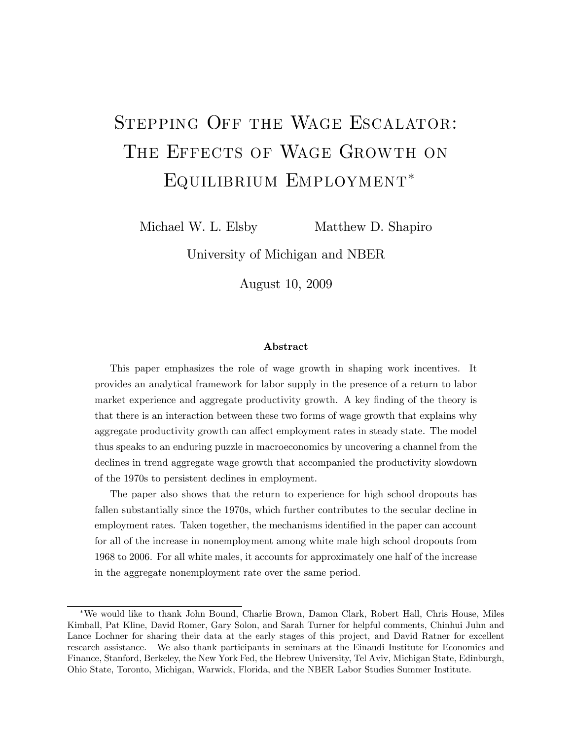## STEPPING OFF THE WAGE ESCALATOR: THE EFFECTS OF WAGE GROWTH ON Equilibrium Employment

Michael W. L. Elsby Matthew D. Shapiro

University of Michigan and NBER

August 10, 2009

#### Abstract

This paper emphasizes the role of wage growth in shaping work incentives. It provides an analytical framework for labor supply in the presence of a return to labor market experience and aggregate productivity growth. A key finding of the theory is that there is an interaction between these two forms of wage growth that explains why aggregate productivity growth can affect employment rates in steady state. The model thus speaks to an enduring puzzle in macroeconomics by uncovering a channel from the declines in trend aggregate wage growth that accompanied the productivity slowdown of the 1970s to persistent declines in employment.

The paper also shows that the return to experience for high school dropouts has fallen substantially since the 1970s, which further contributes to the secular decline in employment rates. Taken together, the mechanisms identified in the paper can account for all of the increase in nonemployment among white male high school dropouts from 1968 to 2006. For all white males, it accounts for approximately one half of the increase in the aggregate nonemployment rate over the same period.

We would like to thank John Bound, Charlie Brown, Damon Clark, Robert Hall, Chris House, Miles Kimball, Pat Kline, David Romer, Gary Solon, and Sarah Turner for helpful comments, Chinhui Juhn and Lance Lochner for sharing their data at the early stages of this project, and David Ratner for excellent research assistance. We also thank participants in seminars at the Einaudi Institute for Economics and Finance, Stanford, Berkeley, the New York Fed, the Hebrew University, Tel Aviv, Michigan State, Edinburgh, Ohio State, Toronto, Michigan, Warwick, Florida, and the NBER Labor Studies Summer Institute.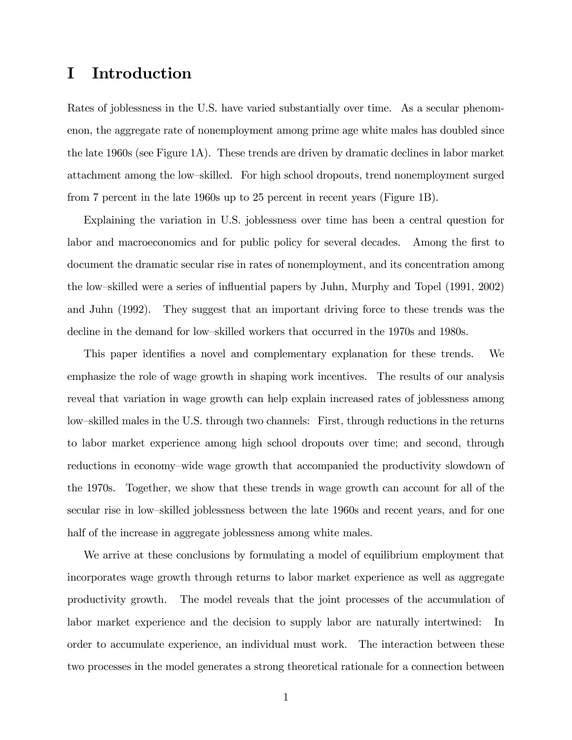## I Introduction

Rates of joblessness in the U.S. have varied substantially over time. As a secular phenomenon, the aggregate rate of nonemployment among prime age white males has doubled since the late 1960s (see Figure 1A). These trends are driven by dramatic declines in labor market attachment among the low-skilled. For high school dropouts, trend nonemployment surged from 7 percent in the late 1960s up to 25 percent in recent years (Figure 1B).

Explaining the variation in U.S. joblessness over time has been a central question for labor and macroeconomics and for public policy for several decades. Among the first to document the dramatic secular rise in rates of nonemployment, and its concentration among the low-skilled were a series of influential papers by Juhn, Murphy and Topel (1991, 2002) and Juhn (1992). They suggest that an important driving force to these trends was the decline in the demand for low-skilled workers that occurred in the 1970s and 1980s.

This paper identifies a novel and complementary explanation for these trends. We emphasize the role of wage growth in shaping work incentives. The results of our analysis reveal that variation in wage growth can help explain increased rates of joblessness among low-skilled males in the U.S. through two channels: First, through reductions in the returns to labor market experience among high school dropouts over time; and second, through reductions in economy–wide wage growth that accompanied the productivity slowdown of the 1970s. Together, we show that these trends in wage growth can account for all of the secular rise in low-skilled joblessness between the late 1960s and recent years, and for one half of the increase in aggregate joblessness among white males.

We arrive at these conclusions by formulating a model of equilibrium employment that incorporates wage growth through returns to labor market experience as well as aggregate productivity growth. The model reveals that the joint processes of the accumulation of labor market experience and the decision to supply labor are naturally intertwined: In order to accumulate experience, an individual must work. The interaction between these two processes in the model generates a strong theoretical rationale for a connection between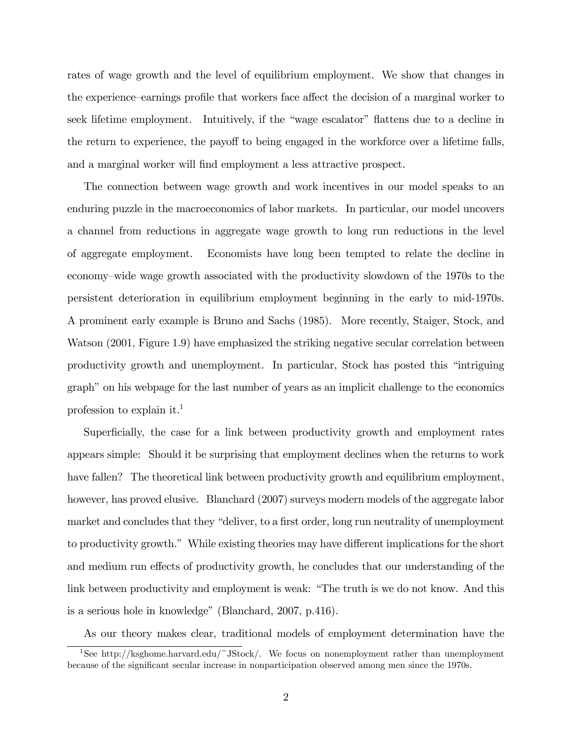rates of wage growth and the level of equilibrium employment. We show that changes in the experience–earnings profile that workers face affect the decision of a marginal worker to seek lifetime employment. Intuitively, if the "wage escalator" flattens due to a decline in the return to experience, the payoff to being engaged in the workforce over a lifetime falls, and a marginal worker will find employment a less attractive prospect.

The connection between wage growth and work incentives in our model speaks to an enduring puzzle in the macroeconomics of labor markets. In particular, our model uncovers a channel from reductions in aggregate wage growth to long run reductions in the level of aggregate employment. Economists have long been tempted to relate the decline in economy–wide wage growth associated with the productivity slowdown of the 1970s to the persistent deterioration in equilibrium employment beginning in the early to mid-1970s. A prominent early example is Bruno and Sachs (1985). More recently, Staiger, Stock, and Watson (2001, Figure 1.9) have emphasized the striking negative secular correlation between productivity growth and unemployment. In particular, Stock has posted this "intriguing graph" on his webpage for the last number of years as an implicit challenge to the economics profession to explain it.<sup>1</sup>

Superficially, the case for a link between productivity growth and employment rates appears simple: Should it be surprising that employment declines when the returns to work have fallen? The theoretical link between productivity growth and equilibrium employment, however, has proved elusive. Blanchard (2007) surveys modern models of the aggregate labor market and concludes that they "deliver, to a first order, long run neutrality of unemployment to productivity growth." While existing theories may have different implications for the short and medium run effects of productivity growth, he concludes that our understanding of the link between productivity and employment is weak: "The truth is we do not know. And this is a serious hole in knowledge" (Blanchard,  $2007$ , p.416).

As our theory makes clear, traditional models of employment determination have the

<sup>&</sup>lt;sup>1</sup>See http://ksghome.harvard.edu/~JStock/. We focus on nonemployment rather than unemployment because of the significant secular increase in nonparticipation observed among men since the 1970s.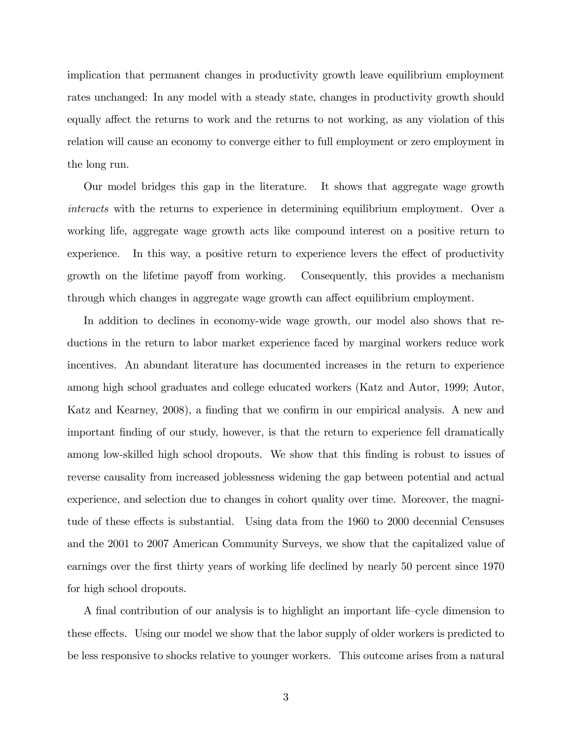implication that permanent changes in productivity growth leave equilibrium employment rates unchanged: In any model with a steady state, changes in productivity growth should equally affect the returns to work and the returns to not working, as any violation of this relation will cause an economy to converge either to full employment or zero employment in the long run.

Our model bridges this gap in the literature. It shows that aggregate wage growth interacts with the returns to experience in determining equilibrium employment. Over a working life, aggregate wage growth acts like compound interest on a positive return to experience. In this way, a positive return to experience levers the effect of productivity growth on the lifetime payoff from working. Consequently, this provides a mechanism through which changes in aggregate wage growth can affect equilibrium employment.

In addition to declines in economy-wide wage growth, our model also shows that reductions in the return to labor market experience faced by marginal workers reduce work incentives. An abundant literature has documented increases in the return to experience among high school graduates and college educated workers (Katz and Autor, 1999; Autor, Katz and Kearney, 2008), a finding that we confirm in our empirical analysis. A new and important finding of our study, however, is that the return to experience fell dramatically among low-skilled high school dropouts. We show that this finding is robust to issues of reverse causality from increased joblessness widening the gap between potential and actual experience, and selection due to changes in cohort quality over time. Moreover, the magnitude of these effects is substantial. Using data from the 1960 to 2000 decennial Censuses and the 2001 to 2007 American Community Surveys, we show that the capitalized value of earnings over the first thirty years of working life declined by nearly 50 percent since 1970 for high school dropouts.

A final contribution of our analysis is to highlight an important life-cycle dimension to these effects. Using our model we show that the labor supply of older workers is predicted to be less responsive to shocks relative to younger workers. This outcome arises from a natural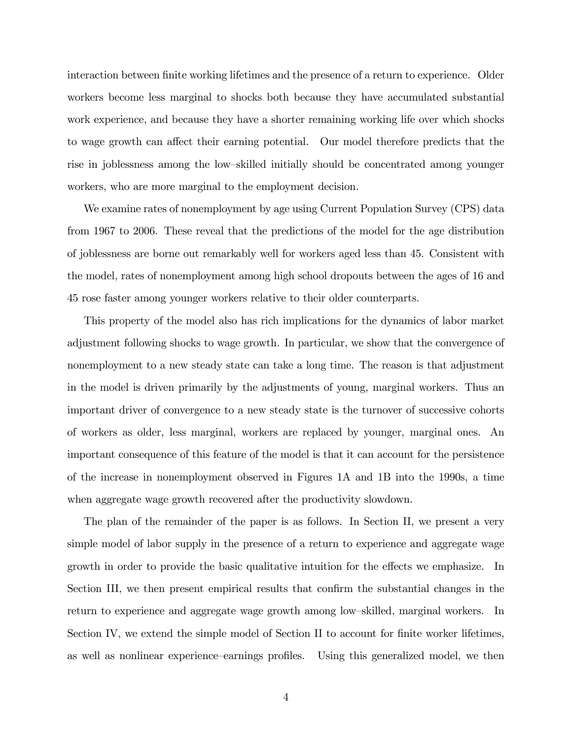interaction between finite working lifetimes and the presence of a return to experience. Older workers become less marginal to shocks both because they have accumulated substantial work experience, and because they have a shorter remaining working life over which shocks to wage growth can affect their earning potential. Our model therefore predicts that the rise in joblessness among the low-skilled initially should be concentrated among younger workers, who are more marginal to the employment decision.

We examine rates of nonemployment by age using Current Population Survey (CPS) data from 1967 to 2006. These reveal that the predictions of the model for the age distribution of joblessness are borne out remarkably well for workers aged less than 45. Consistent with the model, rates of nonemployment among high school dropouts between the ages of 16 and 45 rose faster among younger workers relative to their older counterparts.

This property of the model also has rich implications for the dynamics of labor market adjustment following shocks to wage growth. In particular, we show that the convergence of nonemployment to a new steady state can take a long time. The reason is that adjustment in the model is driven primarily by the adjustments of young, marginal workers. Thus an important driver of convergence to a new steady state is the turnover of successive cohorts of workers as older, less marginal, workers are replaced by younger, marginal ones. An important consequence of this feature of the model is that it can account for the persistence of the increase in nonemployment observed in Figures 1A and 1B into the 1990s, a time when aggregate wage growth recovered after the productivity slowdown.

The plan of the remainder of the paper is as follows. In Section II, we present a very simple model of labor supply in the presence of a return to experience and aggregate wage growth in order to provide the basic qualitative intuition for the effects we emphasize. In Section III, we then present empirical results that confirm the substantial changes in the return to experience and aggregate wage growth among low-skilled, marginal workers. In Section IV, we extend the simple model of Section II to account for finite worker lifetimes, as well as nonlinear experience-earnings profiles. Using this generalized model, we then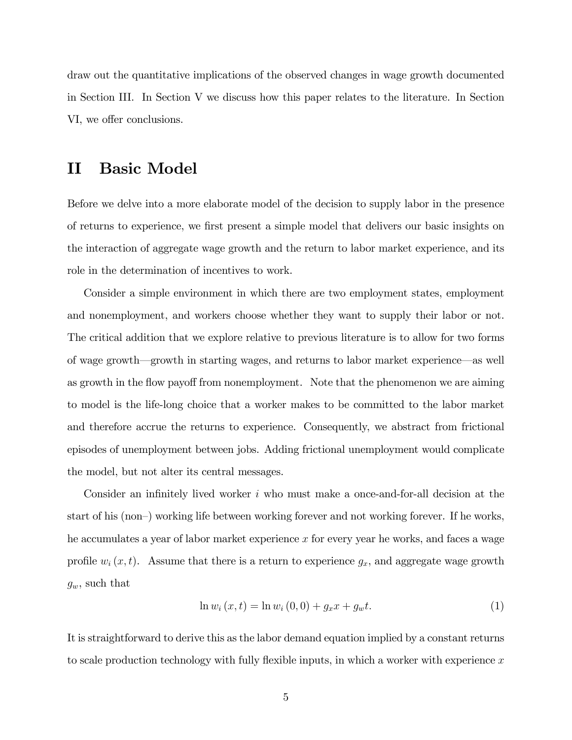draw out the quantitative implications of the observed changes in wage growth documented in Section III. In Section V we discuss how this paper relates to the literature. In Section VI, we offer conclusions.

### II Basic Model

Before we delve into a more elaborate model of the decision to supply labor in the presence of returns to experience, we first present a simple model that delivers our basic insights on the interaction of aggregate wage growth and the return to labor market experience, and its role in the determination of incentives to work.

Consider a simple environment in which there are two employment states, employment and nonemployment, and workers choose whether they want to supply their labor or not. The critical addition that we explore relative to previous literature is to allow for two forms of wage growth—growth in starting wages, and returns to labor market experience—as well as growth in the flow payoff from nonemployment. Note that the phenomenon we are aiming to model is the life-long choice that a worker makes to be committed to the labor market and therefore accrue the returns to experience. Consequently, we abstract from frictional episodes of unemployment between jobs. Adding frictional unemployment would complicate the model, but not alter its central messages.

Consider an infinitely lived worker  $i$  who must make a once-and-for-all decision at the start of his (non–) working life between working forever and not working forever. If he works, he accumulates a year of labor market experience x for every year he works, and faces a wage profile  $w_i(x, t)$ . Assume that there is a return to experience  $g_x$ , and aggregate wage growth  $g_w$ , such that

$$
\ln w_i(x, t) = \ln w_i(0, 0) + g_x x + g_w t. \tag{1}
$$

It is straightforward to derive this as the labor demand equation implied by a constant returns to scale production technology with fully flexible inputs, in which a worker with experience  $x$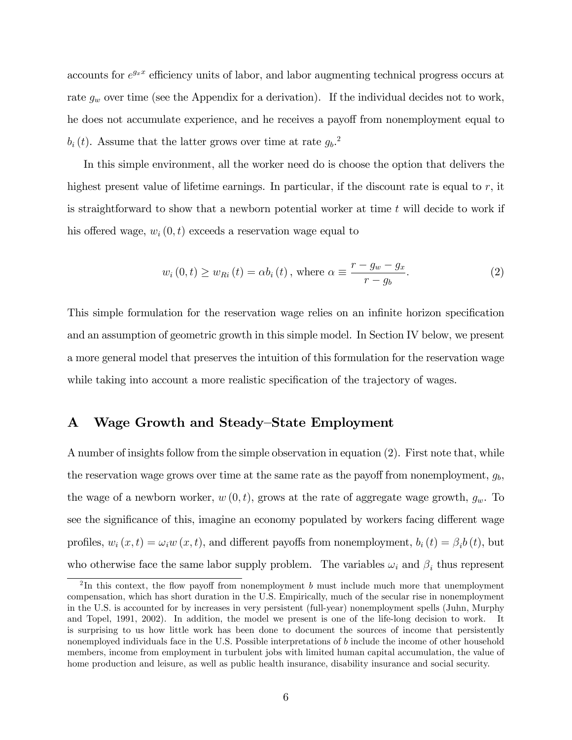accounts for  $e^{g_x x}$  efficiency units of labor, and labor augmenting technical progress occurs at rate  $g_w$  over time (see the Appendix for a derivation). If the individual decides not to work, he does not accumulate experience, and he receives a payoff from nonemployment equal to  $b_i(t)$ . Assume that the latter grows over time at rate  $g_b$ <sup>2</sup>.

In this simple environment, all the worker need do is choose the option that delivers the highest present value of lifetime earnings. In particular, if the discount rate is equal to  $r$ , it is straightforward to show that a newborn potential worker at time t will decide to work if his offered wage,  $w_i(0, t)$  exceeds a reservation wage equal to

$$
w_i(0,t) \ge w_{Ri}(t) = \alpha b_i(t), \text{ where } \alpha \equiv \frac{r - g_w - g_x}{r - g_b}.
$$
 (2)

This simple formulation for the reservation wage relies on an infinite horizon specification and an assumption of geometric growth in this simple model. In Section IV below, we present a more general model that preserves the intuition of this formulation for the reservation wage while taking into account a more realistic specification of the trajectory of wages.

#### A Wage Growth and Steady–State Employment

A number of insights follow from the simple observation in equation (2). First note that, while the reservation wage grows over time at the same rate as the payoff from nonemployment,  $g_b$ , the wage of a newborn worker,  $w(0, t)$ , grows at the rate of aggregate wage growth,  $g_w$ . To see the significance of this, imagine an economy populated by workers facing different wage profiles,  $w_i(x, t) = \omega_i w(x, t)$ , and different payoffs from nonemployment,  $b_i(t) = \beta_i b(t)$ , but who otherwise face the same labor supply problem. The variables  $\omega_i$  and  $\beta_i$  thus represent

 $2 \text{In this context, the flow payoff from nonemptyment } b \text{ must include much more that unemptyment }$ compensation, which has short duration in the U.S. Empirically, much of the secular rise in nonemployment in the U.S. is accounted for by increases in very persistent (full-year) nonemployment spells (Juhn, Murphy and Topel, 1991, 2002). In addition, the model we present is one of the life-long decision to work. It is surprising to us how little work has been done to document the sources of income that persistently nonemployed individuals face in the U.S. Possible interpretations of b include the income of other household members, income from employment in turbulent jobs with limited human capital accumulation, the value of home production and leisure, as well as public health insurance, disability insurance and social security.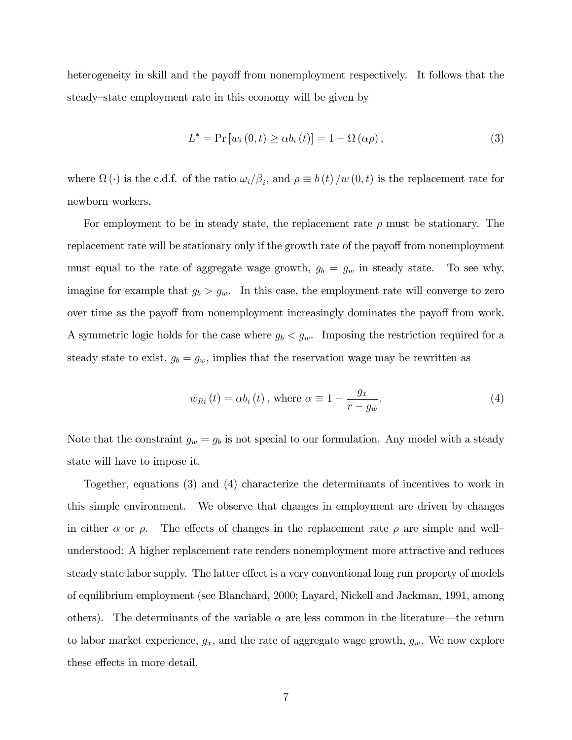heterogeneity in skill and the payoff from nonemployment respectively. It follows that the steady–state employment rate in this economy will be given by

$$
L^* = \Pr\left[w_i\left(0, t\right) \geq \alpha b_i\left(t\right)\right] = 1 - \Omega\left(\alpha \rho\right),\tag{3}
$$

where  $\Omega(\cdot)$  is the c.d.f. of the ratio  $\omega_i/\beta_i$ , and  $\rho \equiv b(t)/w(0,t)$  is the replacement rate for newborn workers.

For employment to be in steady state, the replacement rate  $\rho$  must be stationary. The replacement rate will be stationary only if the growth rate of the payoff from nonemployment must equal to the rate of aggregate wage growth,  $g_b = g_w$  in steady state. To see why, imagine for example that  $g_b > g_w$ . In this case, the employment rate will converge to zero over time as the payoff from nonemployment increasingly dominates the payoff from work. A symmetric logic holds for the case where  $g_b < g_w$ . Imposing the restriction required for a steady state to exist,  $g_b = g_w$ , implies that the reservation wage may be rewritten as

$$
w_{Ri}(t) = \alpha b_i(t), \text{ where } \alpha \equiv 1 - \frac{g_x}{r - g_w}.
$$
 (4)

Note that the constraint  $g_w = g_b$  is not special to our formulation. Any model with a steady state will have to impose it.

Together, equations (3) and (4) characterize the determinants of incentives to work in this simple environment. We observe that changes in employment are driven by changes in either  $\alpha$  or  $\rho$ . The effects of changes in the replacement rate  $\rho$  are simple and wellunderstood: A higher replacement rate renders nonemployment more attractive and reduces steady state labor supply. The latter effect is a very conventional long run property of models of equilibrium employment (see Blanchard, 2000; Layard, Nickell and Jackman, 1991, among others). The determinants of the variable  $\alpha$  are less common in the literature—the return to labor market experience,  $g_x$ , and the rate of aggregate wage growth,  $g_w$ . We now explore these effects in more detail.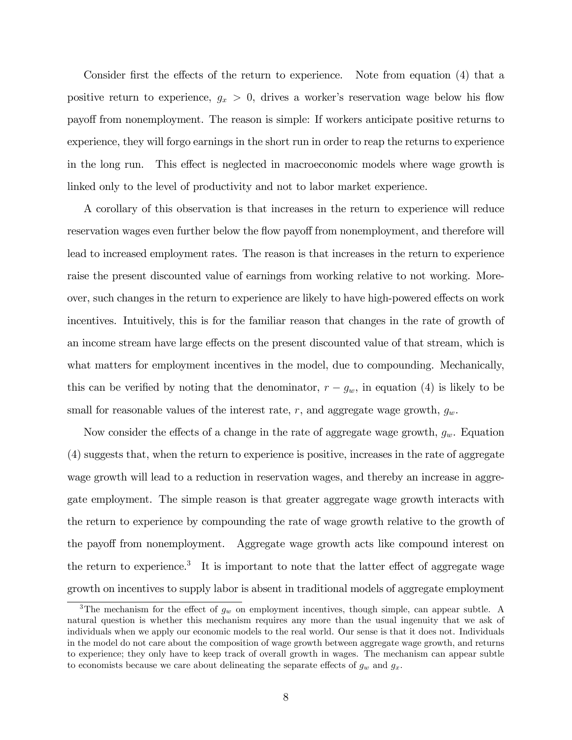Consider first the effects of the return to experience. Note from equation  $(4)$  that a positive return to experience,  $g_x > 0$ , drives a worker's reservation wage below his flow payo§ from nonemployment. The reason is simple: If workers anticipate positive returns to experience, they will forgo earnings in the short run in order to reap the returns to experience in the long run. This effect is neglected in macroeconomic models where wage growth is linked only to the level of productivity and not to labor market experience.

A corollary of this observation is that increases in the return to experience will reduce reservation wages even further below the flow payoff from nonemployment, and therefore will lead to increased employment rates. The reason is that increases in the return to experience raise the present discounted value of earnings from working relative to not working. Moreover, such changes in the return to experience are likely to have high-powered effects on work incentives. Intuitively, this is for the familiar reason that changes in the rate of growth of an income stream have large effects on the present discounted value of that stream, which is what matters for employment incentives in the model, due to compounding. Mechanically, this can be verified by noting that the denominator,  $r - g_w$ , in equation (4) is likely to be small for reasonable values of the interest rate, r, and aggregate wage growth,  $g_w$ .

Now consider the effects of a change in the rate of aggregate wage growth,  $g_w$ . Equation (4) suggests that, when the return to experience is positive, increases in the rate of aggregate wage growth will lead to a reduction in reservation wages, and thereby an increase in aggregate employment. The simple reason is that greater aggregate wage growth interacts with the return to experience by compounding the rate of wage growth relative to the growth of the payoff from nonemployment. Aggregate wage growth acts like compound interest on the return to experience.<sup>3</sup> It is important to note that the latter effect of aggregate wage growth on incentives to supply labor is absent in traditional models of aggregate employment

<sup>&</sup>lt;sup>3</sup>The mechanism for the effect of  $g_w$  on employment incentives, though simple, can appear subtle. A natural question is whether this mechanism requires any more than the usual ingenuity that we ask of individuals when we apply our economic models to the real world. Our sense is that it does not. Individuals in the model do not care about the composition of wage growth between aggregate wage growth, and returns to experience; they only have to keep track of overall growth in wages. The mechanism can appear subtle to economists because we care about delineating the separate effects of  $g_w$  and  $g_x$ .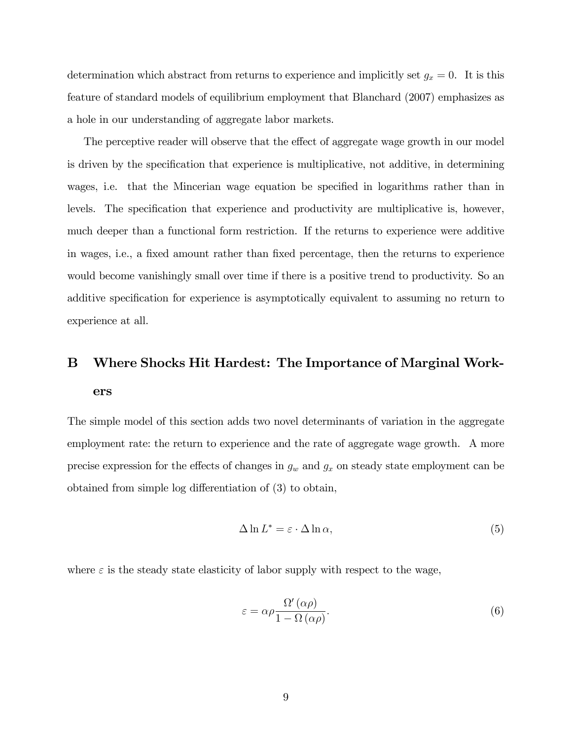determination which abstract from returns to experience and implicitly set  $g_x = 0$ . It is this feature of standard models of equilibrium employment that Blanchard (2007) emphasizes as a hole in our understanding of aggregate labor markets.

The perceptive reader will observe that the effect of aggregate wage growth in our model is driven by the specification that experience is multiplicative, not additive, in determining wages, i.e. that the Mincerian wage equation be specified in logarithms rather than in levels. The specification that experience and productivity are multiplicative is, however, much deeper than a functional form restriction. If the returns to experience were additive in wages, i.e., a fixed amount rather than fixed percentage, then the returns to experience would become vanishingly small over time if there is a positive trend to productivity. So an additive specification for experience is asymptotically equivalent to assuming no return to experience at all.

## B Where Shocks Hit Hardest: The Importance of Marginal Workers

The simple model of this section adds two novel determinants of variation in the aggregate employment rate: the return to experience and the rate of aggregate wage growth. A more precise expression for the effects of changes in  $g_w$  and  $g_x$  on steady state employment can be obtained from simple log differentiation of  $(3)$  to obtain,

$$
\Delta \ln L^* = \varepsilon \cdot \Delta \ln \alpha, \tag{5}
$$

where  $\varepsilon$  is the steady state elasticity of labor supply with respect to the wage,

$$
\varepsilon = \alpha \rho \frac{\Omega'(\alpha \rho)}{1 - \Omega(\alpha \rho)}.\tag{6}
$$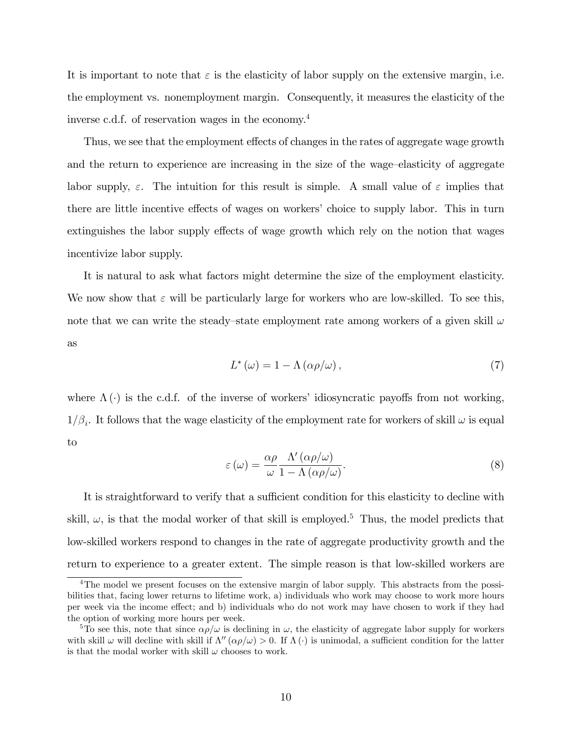It is important to note that  $\varepsilon$  is the elasticity of labor supply on the extensive margin, i.e. the employment vs. nonemployment margin. Consequently, it measures the elasticity of the inverse c.d.f. of reservation wages in the economy.<sup>4</sup>

Thus, we see that the employment effects of changes in the rates of aggregate wage growth and the return to experience are increasing in the size of the wage-elasticity of aggregate labor supply,  $\varepsilon$ . The intuition for this result is simple. A small value of  $\varepsilon$  implies that there are little incentive effects of wages on workers' choice to supply labor. This in turn extinguishes the labor supply effects of wage growth which rely on the notion that wages incentivize labor supply.

It is natural to ask what factors might determine the size of the employment elasticity. We now show that  $\varepsilon$  will be particularly large for workers who are low-skilled. To see this, note that we can write the steady-state employment rate among workers of a given skill  $\omega$ as

$$
L^{\ast}\left(\omega\right) = 1 - \Lambda\left(\alpha \rho/\omega\right),\tag{7}
$$

where  $\Lambda(\cdot)$  is the c.d.f. of the inverse of workers' idiosyncratic payoffs from not working,  $1/\beta_i$ . It follows that the wage elasticity of the employment rate for workers of skill  $\omega$  is equal to

$$
\varepsilon(\omega) = \frac{\alpha \rho}{\omega} \frac{\Lambda'(\alpha \rho/\omega)}{1 - \Lambda(\alpha \rho/\omega)}.
$$
\n(8)

It is straightforward to verify that a sufficient condition for this elasticity to decline with skill,  $\omega$ , is that the modal worker of that skill is employed.<sup>5</sup> Thus, the model predicts that low-skilled workers respond to changes in the rate of aggregate productivity growth and the return to experience to a greater extent. The simple reason is that low-skilled workers are

<sup>&</sup>lt;sup>4</sup>The model we present focuses on the extensive margin of labor supply. This abstracts from the possibilities that, facing lower returns to lifetime work, a) individuals who work may choose to work more hours per week via the income effect; and b) individuals who do not work may have chosen to work if they had the option of working more hours per week.

<sup>&</sup>lt;sup>5</sup>To see this, note that since  $\alpha \rho/\omega$  is declining in  $\omega$ , the elasticity of aggregate labor supply for workers with skill  $\omega$  will decline with skill if  $\Lambda''(\alpha\rho/\omega) > 0$ . If  $\Lambda(\cdot)$  is unimodal, a sufficient condition for the latter is that the modal worker with skill  $\omega$  chooses to work.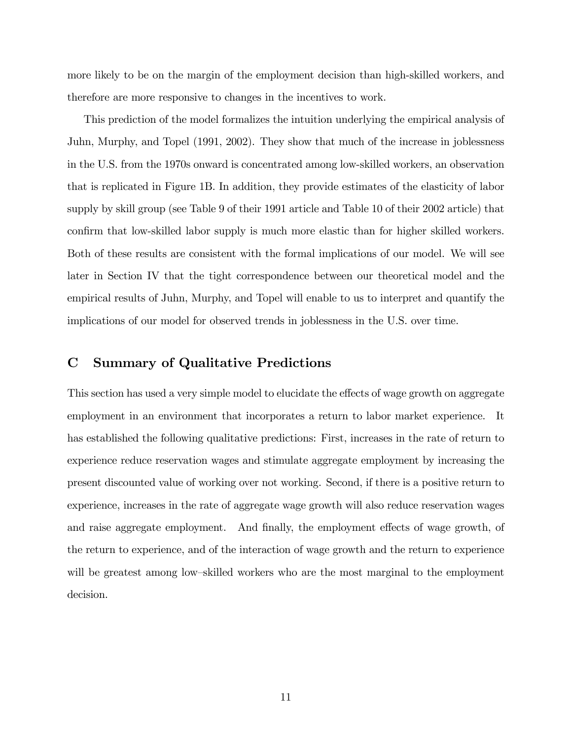more likely to be on the margin of the employment decision than high-skilled workers, and therefore are more responsive to changes in the incentives to work.

This prediction of the model formalizes the intuition underlying the empirical analysis of Juhn, Murphy, and Topel (1991, 2002). They show that much of the increase in joblessness in the U.S. from the 1970s onward is concentrated among low-skilled workers, an observation that is replicated in Figure 1B. In addition, they provide estimates of the elasticity of labor supply by skill group (see Table 9 of their 1991 article and Table 10 of their 2002 article) that confirm that low-skilled labor supply is much more elastic than for higher skilled workers. Both of these results are consistent with the formal implications of our model. We will see later in Section IV that the tight correspondence between our theoretical model and the empirical results of Juhn, Murphy, and Topel will enable to us to interpret and quantify the implications of our model for observed trends in joblessness in the U.S. over time.

#### C Summary of Qualitative Predictions

This section has used a very simple model to elucidate the effects of wage growth on aggregate employment in an environment that incorporates a return to labor market experience. It has established the following qualitative predictions: First, increases in the rate of return to experience reduce reservation wages and stimulate aggregate employment by increasing the present discounted value of working over not working. Second, if there is a positive return to experience, increases in the rate of aggregate wage growth will also reduce reservation wages and raise aggregate employment. And finally, the employment effects of wage growth, of the return to experience, and of the interaction of wage growth and the return to experience will be greatest among low-skilled workers who are the most marginal to the employment decision.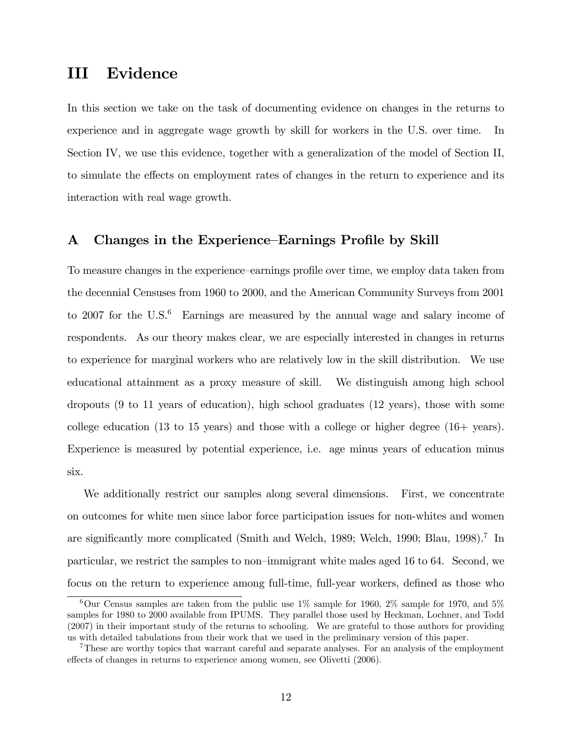## III Evidence

In this section we take on the task of documenting evidence on changes in the returns to experience and in aggregate wage growth by skill for workers in the U.S. over time. In Section IV, we use this evidence, together with a generalization of the model of Section II, to simulate the effects on employment rates of changes in the return to experience and its interaction with real wage growth.

#### A Changes in the Experience–Earnings Profile by Skill

To measure changes in the experience–earnings profile over time, we employ data taken from the decennial Censuses from 1960 to 2000, and the American Community Surveys from 2001 to 2007 for the U.S. $6$  Earnings are measured by the annual wage and salary income of respondents. As our theory makes clear, we are especially interested in changes in returns to experience for marginal workers who are relatively low in the skill distribution. We use educational attainment as a proxy measure of skill. We distinguish among high school dropouts (9 to 11 years of education), high school graduates (12 years), those with some college education (13 to 15 years) and those with a college or higher degree (16+ years). Experience is measured by potential experience, i.e. age minus years of education minus six.

We additionally restrict our samples along several dimensions. First, we concentrate on outcomes for white men since labor force participation issues for non-whites and women are significantly more complicated (Smith and Welch, 1989; Welch, 1990; Blau, 1998).<sup>7</sup> In particular, we restrict the samples to non-immigrant white males aged 16 to 64. Second, we focus on the return to experience among full-time, full-year workers, defined as those who

<sup>&</sup>lt;sup>6</sup>Our Census samples are taken from the public use  $1\%$  sample for 1960, 2% sample for 1970, and 5% samples for 1980 to 2000 available from IPUMS. They parallel those used by Heckman, Lochner, and Todd (2007) in their important study of the returns to schooling. We are grateful to those authors for providing us with detailed tabulations from their work that we used in the preliminary version of this paper.

<sup>7</sup>These are worthy topics that warrant careful and separate analyses. For an analysis of the employment effects of changes in returns to experience among women, see Olivetti (2006).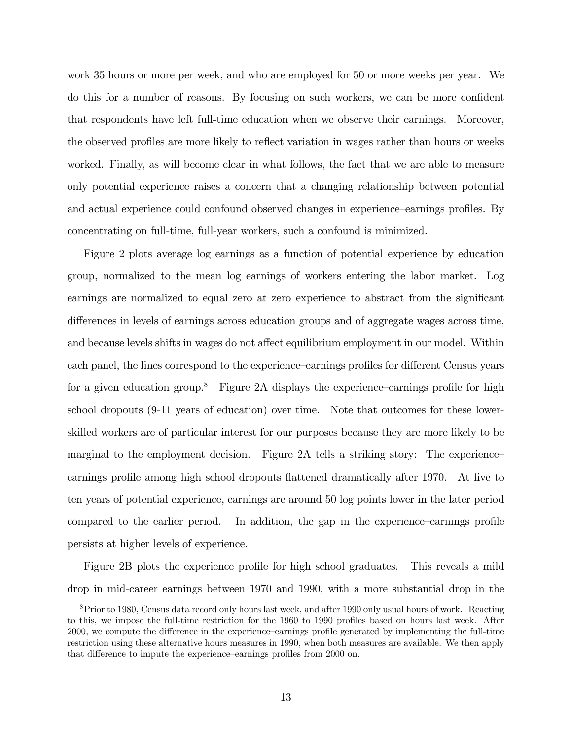work 35 hours or more per week, and who are employed for 50 or more weeks per year. We do this for a number of reasons. By focusing on such workers, we can be more confident that respondents have left full-time education when we observe their earnings. Moreover, the observed profiles are more likely to reflect variation in wages rather than hours or weeks worked. Finally, as will become clear in what follows, the fact that we are able to measure only potential experience raises a concern that a changing relationship between potential and actual experience could confound observed changes in experience—earnings profiles. By concentrating on full-time, full-year workers, such a confound is minimized.

Figure 2 plots average log earnings as a function of potential experience by education group, normalized to the mean log earnings of workers entering the labor market. Log earnings are normalized to equal zero at zero experience to abstract from the significant differences in levels of earnings across education groups and of aggregate wages across time, and because levels shifts in wages do not affect equilibrium employment in our model. Within each panel, the lines correspond to the experience–earnings profiles for different Census years for a given education group.<sup>8</sup> Figure 2A displays the experience-earnings profile for high school dropouts (9-11 years of education) over time. Note that outcomes for these lowerskilled workers are of particular interest for our purposes because they are more likely to be marginal to the employment decision. Figure 2A tells a striking story: The experienceearnings profile among high school dropouts flattened dramatically after 1970. At five to ten years of potential experience, earnings are around 50 log points lower in the later period compared to the earlier period. In addition, the gap in the experience-earnings profile persists at higher levels of experience.

Figure 2B plots the experience profile for high school graduates. This reveals a mild drop in mid-career earnings between 1970 and 1990, with a more substantial drop in the

<sup>8</sup>Prior to 1980, Census data record only hours last week, and after 1990 only usual hours of work. Reacting to this, we impose the full-time restriction for the 1960 to 1990 profiles based on hours last week. After 2000, we compute the difference in the experience–earnings profile generated by implementing the full-time restriction using these alternative hours measures in 1990, when both measures are available. We then apply that difference to impute the experience–earnings profiles from 2000 on.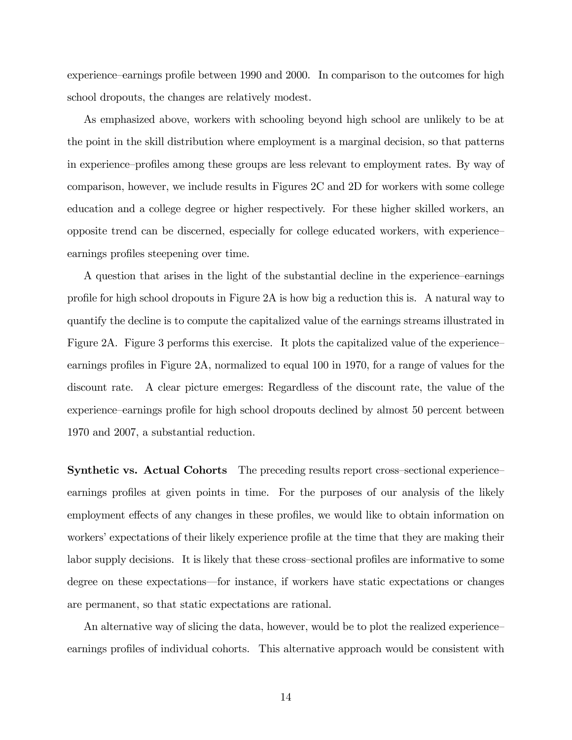experience—earnings profile between 1990 and 2000. In comparison to the outcomes for high school dropouts, the changes are relatively modest.

As emphasized above, workers with schooling beyond high school are unlikely to be at the point in the skill distribution where employment is a marginal decision, so that patterns in experience–profiles among these groups are less relevant to employment rates. By way of comparison, however, we include results in Figures 2C and 2D for workers with some college education and a college degree or higher respectively. For these higher skilled workers, an opposite trend can be discerned, especially for college educated workers, with experienceñ earnings profiles steepening over time.

A question that arises in the light of the substantial decline in the experience–earnings profile for high school dropouts in Figure 2A is how big a reduction this is. A natural way to quantify the decline is to compute the capitalized value of the earnings streams illustrated in Figure 2A. Figure 3 performs this exercise. It plots the capitalized value of the experience earnings profiles in Figure 2A, normalized to equal 100 in 1970, for a range of values for the discount rate. A clear picture emerges: Regardless of the discount rate, the value of the experience—earnings profile for high school dropouts declined by almost 50 percent between 1970 and 2007, a substantial reduction.

**Synthetic vs. Actual Cohorts** The preceding results report cross-sectional experience earnings profiles at given points in time. For the purposes of our analysis of the likely employment effects of any changes in these profiles, we would like to obtain information on workers' expectations of their likely experience profile at the time that they are making their labor supply decisions. It is likely that these cross-sectional profiles are informative to some degree on these expectations—for instance, if workers have static expectations or changes are permanent, so that static expectations are rational.

An alternative way of slicing the data, however, would be to plot the realized experience earnings profiles of individual cohorts. This alternative approach would be consistent with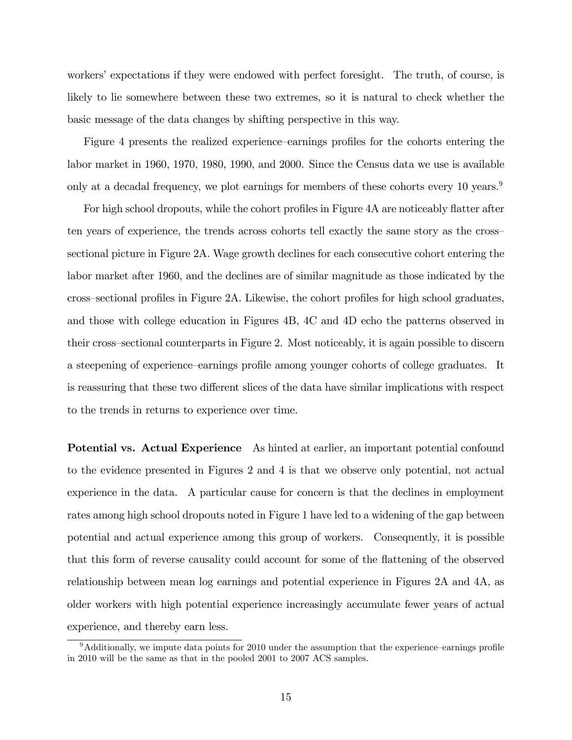workers' expectations if they were endowed with perfect foresight. The truth, of course, is likely to lie somewhere between these two extremes, so it is natural to check whether the basic message of the data changes by shifting perspective in this way.

Figure 4 presents the realized experience-earnings profiles for the cohorts entering the labor market in 1960, 1970, 1980, 1990, and 2000. Since the Census data we use is available only at a decadal frequency, we plot earnings for members of these cohorts every 10 years.<sup>9</sup>

For high school dropouts, while the cohort profiles in Figure 4A are noticeably flatter after ten years of experience, the trends across cohorts tell exactly the same story as the crosssectional picture in Figure 2A. Wage growth declines for each consecutive cohort entering the labor market after 1960, and the declines are of similar magnitude as those indicated by the cross–sectional profiles in Figure 2A. Likewise, the cohort profiles for high school graduates, and those with college education in Figures 4B, 4C and 4D echo the patterns observed in their cross–sectional counterparts in Figure 2. Most noticeably, it is again possible to discern a steepening of experience–earnings profile among younger cohorts of college graduates. It is reassuring that these two different slices of the data have similar implications with respect to the trends in returns to experience over time.

Potential vs. Actual Experience As hinted at earlier, an important potential confound to the evidence presented in Figures 2 and 4 is that we observe only potential, not actual experience in the data. A particular cause for concern is that the declines in employment rates among high school dropouts noted in Figure 1 have led to a widening of the gap between potential and actual experience among this group of workers. Consequently, it is possible that this form of reverse causality could account for some of the flattening of the observed relationship between mean log earnings and potential experience in Figures 2A and 4A, as older workers with high potential experience increasingly accumulate fewer years of actual experience, and thereby earn less.

 $9$ Additionally, we impute data points for 2010 under the assumption that the experience–earnings profile in 2010 will be the same as that in the pooled 2001 to 2007 ACS samples.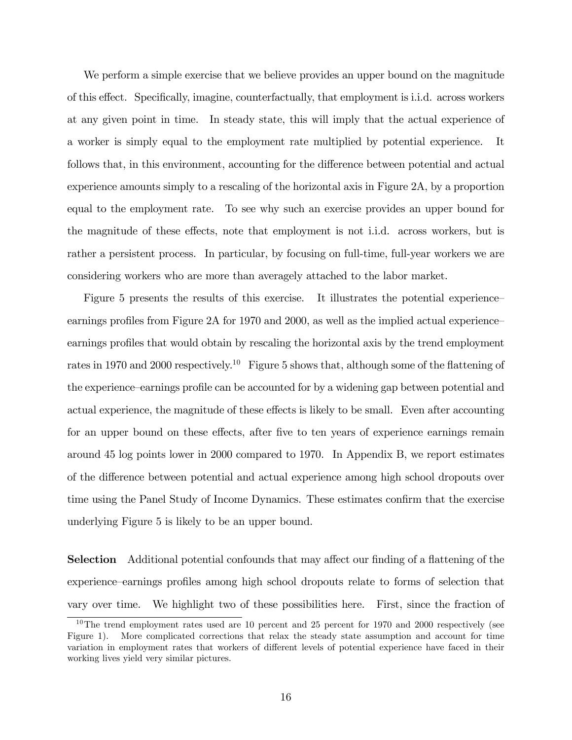We perform a simple exercise that we believe provides an upper bound on the magnitude of this effect. Specifically, imagine, counterfactually, that employment is i.i.d. across workers at any given point in time. In steady state, this will imply that the actual experience of a worker is simply equal to the employment rate multiplied by potential experience. It follows that, in this environment, accounting for the difference between potential and actual experience amounts simply to a rescaling of the horizontal axis in Figure 2A, by a proportion equal to the employment rate. To see why such an exercise provides an upper bound for the magnitude of these effects, note that employment is not i.i.d. across workers, but is rather a persistent process. In particular, by focusing on full-time, full-year workers we are considering workers who are more than averagely attached to the labor market.

Figure 5 presents the results of this exercise. It illustrates the potential experience earnings profiles from Figure  $2A$  for 1970 and 2000, as well as the implied actual experience earnings profiles that would obtain by rescaling the horizontal axis by the trend employment rates in 1970 and 2000 respectively.<sup>10</sup> Figure 5 shows that, although some of the flattening of the experience–earnings profile can be accounted for by a widening gap between potential and actual experience, the magnitude of these effects is likely to be small. Even after accounting for an upper bound on these effects, after five to ten years of experience earnings remain around 45 log points lower in 2000 compared to 1970. In Appendix B, we report estimates of the difference between potential and actual experience among high school dropouts over time using the Panel Study of Income Dynamics. These estimates confirm that the exercise underlying Figure 5 is likely to be an upper bound.

**Selection** Additional potential confounds that may affect our finding of a flattening of the experience—earnings profiles among high school dropouts relate to forms of selection that vary over time. We highlight two of these possibilities here. First, since the fraction of

 $10$ The trend employment rates used are 10 percent and 25 percent for 1970 and 2000 respectively (see Figure 1). More complicated corrections that relax the steady state assumption and account for time variation in employment rates that workers of different levels of potential experience have faced in their working lives yield very similar pictures.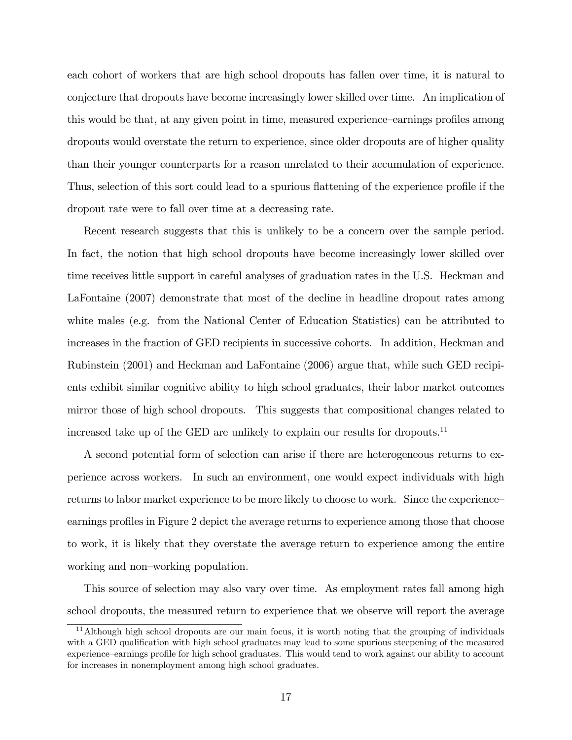each cohort of workers that are high school dropouts has fallen over time, it is natural to conjecture that dropouts have become increasingly lower skilled over time. An implication of this would be that, at any given point in time, measured experience—earnings profiles among dropouts would overstate the return to experience, since older dropouts are of higher quality than their younger counterparts for a reason unrelated to their accumulation of experience. Thus, selection of this sort could lead to a spurious flattening of the experience profile if the dropout rate were to fall over time at a decreasing rate.

Recent research suggests that this is unlikely to be a concern over the sample period. In fact, the notion that high school dropouts have become increasingly lower skilled over time receives little support in careful analyses of graduation rates in the U.S. Heckman and LaFontaine (2007) demonstrate that most of the decline in headline dropout rates among white males (e.g. from the National Center of Education Statistics) can be attributed to increases in the fraction of GED recipients in successive cohorts. In addition, Heckman and Rubinstein (2001) and Heckman and LaFontaine (2006) argue that, while such GED recipients exhibit similar cognitive ability to high school graduates, their labor market outcomes mirror those of high school dropouts. This suggests that compositional changes related to increased take up of the GED are unlikely to explain our results for dropouts.<sup>11</sup>

A second potential form of selection can arise if there are heterogeneous returns to experience across workers. In such an environment, one would expect individuals with high returns to labor market experience to be more likely to choose to work. Since the experience earnings profiles in Figure 2 depict the average returns to experience among those that choose to work, it is likely that they overstate the average return to experience among the entire working and non-working population.

This source of selection may also vary over time. As employment rates fall among high school dropouts, the measured return to experience that we observe will report the average

<sup>11</sup>Although high school dropouts are our main focus, it is worth noting that the grouping of individuals with a GED qualification with high school graduates may lead to some spurious steepening of the measured experience—earnings profile for high school graduates. This would tend to work against our ability to account for increases in nonemployment among high school graduates.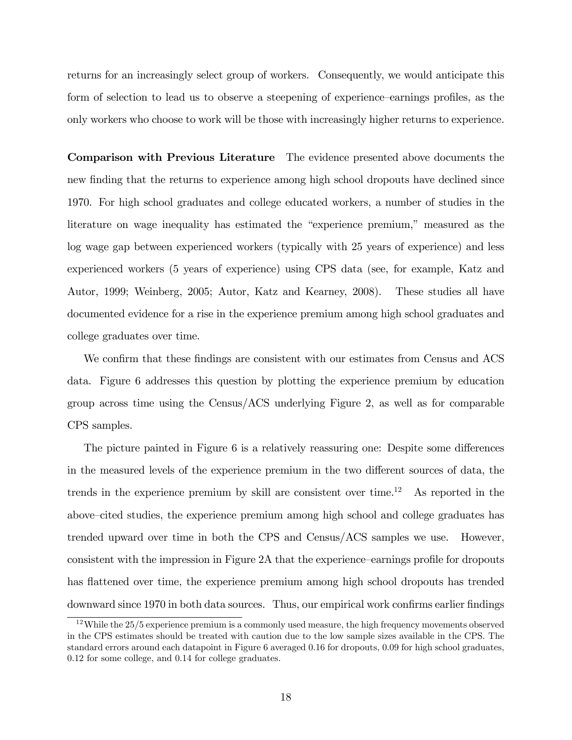returns for an increasingly select group of workers. Consequently, we would anticipate this form of selection to lead us to observe a steepening of experience–earnings profiles, as the only workers who choose to work will be those with increasingly higher returns to experience.

Comparison with Previous Literature The evidence presented above documents the new finding that the returns to experience among high school dropouts have declined since 1970. For high school graduates and college educated workers, a number of studies in the literature on wage inequality has estimated the "experience premium," measured as the log wage gap between experienced workers (typically with 25 years of experience) and less experienced workers (5 years of experience) using CPS data (see, for example, Katz and Autor, 1999; Weinberg, 2005; Autor, Katz and Kearney, 2008). These studies all have documented evidence for a rise in the experience premium among high school graduates and college graduates over time.

We confirm that these findings are consistent with our estimates from Census and ACS data. Figure 6 addresses this question by plotting the experience premium by education group across time using the Census/ACS underlying Figure 2, as well as for comparable CPS samples.

The picture painted in Figure 6 is a relatively reassuring one: Despite some differences in the measured levels of the experience premium in the two different sources of data, the trends in the experience premium by skill are consistent over time.<sup>12</sup> As reported in the above–cited studies, the experience premium among high school and college graduates has trended upward over time in both the CPS and Census/ACS samples we use. However, consistent with the impression in Figure 2A that the experience-earnings profile for dropouts has flattened over time, the experience premium among high school dropouts has trended downward since 1970 in both data sources. Thus, our empirical work confirms earlier findings

<sup>&</sup>lt;sup>12</sup>While the 25/5 experience premium is a commonly used measure, the high frequency movements observed in the CPS estimates should be treated with caution due to the low sample sizes available in the CPS. The standard errors around each datapoint in Figure 6 averaged 0.16 for dropouts, 0.09 for high school graduates, 0.12 for some college, and 0.14 for college graduates.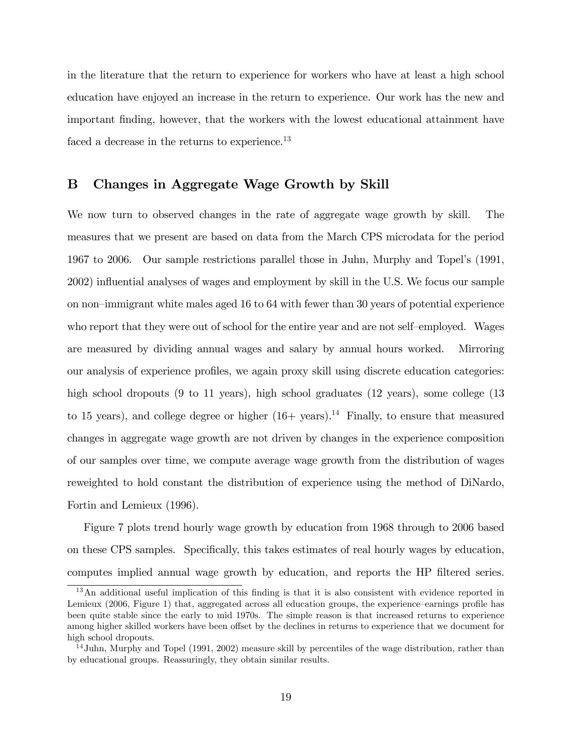in the literature that the return to experience for workers who have at least a high school education have enjoyed an increase in the return to experience. Our work has the new and important Önding, however, that the workers with the lowest educational attainment have faced a decrease in the returns to experience.<sup>13</sup>

#### B Changes in Aggregate Wage Growth by Skill

We now turn to observed changes in the rate of aggregate wage growth by skill. The measures that we present are based on data from the March CPS microdata for the period 1967 to 2006. Our sample restrictions parallel those in Juhn, Murphy and Topelís (1991, 2002) influential analyses of wages and employment by skill in the U.S. We focus our sample on non-immigrant white males aged 16 to 64 with fewer than 30 years of potential experience who report that they were out of school for the entire year and are not self-employed. Wages are measured by dividing annual wages and salary by annual hours worked. Mirroring our analysis of experience profiles, we again proxy skill using discrete education categories: high school dropouts (9 to 11 years), high school graduates (12 years), some college (13 to 15 years), and college degree or higher  $(16+$  years).<sup>14</sup> Finally, to ensure that measured changes in aggregate wage growth are not driven by changes in the experience composition of our samples over time, we compute average wage growth from the distribution of wages reweighted to hold constant the distribution of experience using the method of DiNardo, Fortin and Lemieux (1996).

Figure 7 plots trend hourly wage growth by education from 1968 through to 2006 based on these CPS samples. Specifically, this takes estimates of real hourly wages by education, computes implied annual wage growth by education, and reports the HP filtered series.

<sup>&</sup>lt;sup>13</sup>An additional useful implication of this finding is that it is also consistent with evidence reported in Lemieux (2006, Figure 1) that, aggregated across all education groups, the experience–earnings profile has been quite stable since the early to mid 1970s. The simple reason is that increased returns to experience among higher skilled workers have been offset by the declines in returns to experience that we document for high school dropouts.

 $14$ Juhn, Murphy and Topel (1991, 2002) measure skill by percentiles of the wage distribution, rather than by educational groups. Reassuringly, they obtain similar results.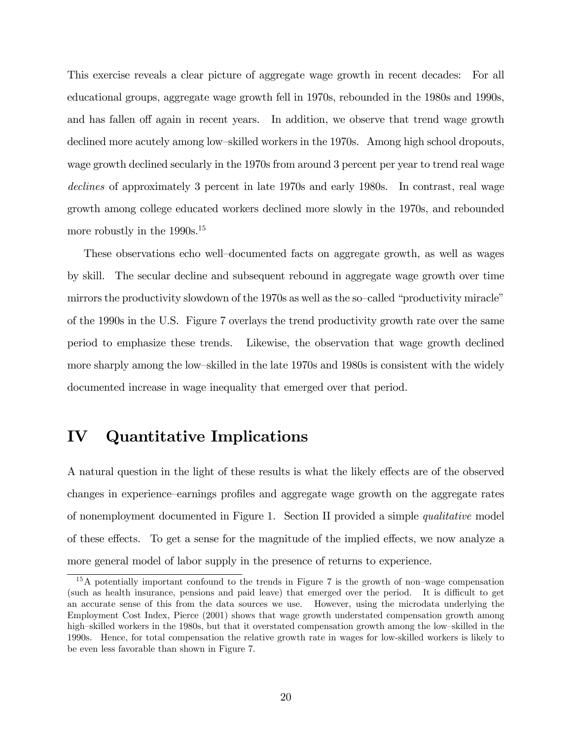This exercise reveals a clear picture of aggregate wage growth in recent decades: For all educational groups, aggregate wage growth fell in 1970s, rebounded in the 1980s and 1990s, and has fallen of again in recent years. In addition, we observe that trend wage growth declined more acutely among low-skilled workers in the 1970s. Among high school dropouts, wage growth declined secularly in the 1970s from around 3 percent per year to trend real wage declines of approximately 3 percent in late 1970s and early 1980s. In contrast, real wage growth among college educated workers declined more slowly in the 1970s, and rebounded more robustly in the 1990s.<sup>15</sup>

These observations echo well-documented facts on aggregate growth, as well as wages by skill. The secular decline and subsequent rebound in aggregate wage growth over time mirrors the productivity slowdown of the 1970s as well as the so-called "productivity miracle" of the 1990s in the U.S. Figure 7 overlays the trend productivity growth rate over the same period to emphasize these trends. Likewise, the observation that wage growth declined more sharply among the low-skilled in the late 1970s and 1980s is consistent with the widely documented increase in wage inequality that emerged over that period.

## IV Quantitative Implications

A natural question in the light of these results is what the likely effects are of the observed changes in experience–earnings profiles and aggregate wage growth on the aggregate rates of nonemployment documented in Figure 1. Section II provided a simple qualitative model of these effects. To get a sense for the magnitude of the implied effects, we now analyze a more general model of labor supply in the presence of returns to experience.

 $15A$  potentially important confound to the trends in Figure 7 is the growth of non–wage compensation (such as health insurance, pensions and paid leave) that emerged over the period. It is difficult to get an accurate sense of this from the data sources we use. However, using the microdata underlying the Employment Cost Index, Pierce (2001) shows that wage growth understated compensation growth among high-skilled workers in the 1980s, but that it overstated compensation growth among the low-skilled in the 1990s. Hence, for total compensation the relative growth rate in wages for low-skilled workers is likely to be even less favorable than shown in Figure 7.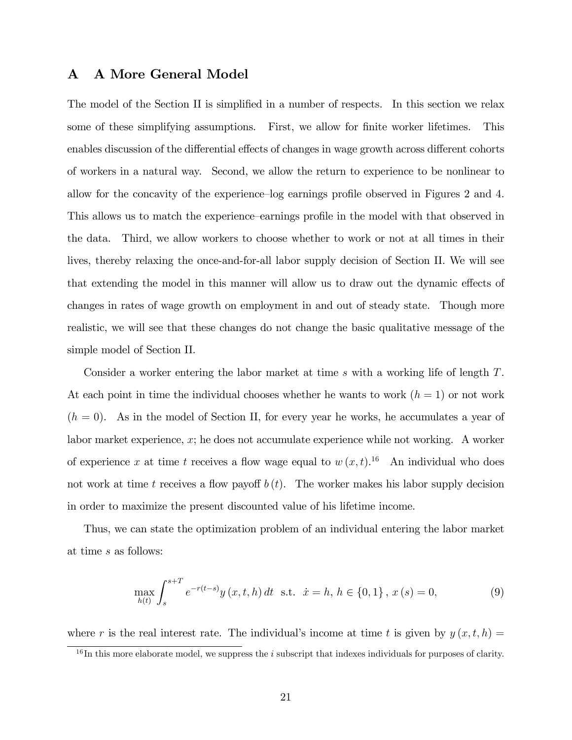#### A A More General Model

The model of the Section II is simplified in a number of respects. In this section we relax some of these simplifying assumptions. First, we allow for finite worker lifetimes. This enables discussion of the differential effects of changes in wage growth across different cohorts of workers in a natural way. Second, we allow the return to experience to be nonlinear to allow for the concavity of the experience-log earnings profile observed in Figures 2 and 4. This allows us to match the experience–earnings profile in the model with that observed in the data. Third, we allow workers to choose whether to work or not at all times in their lives, thereby relaxing the once-and-for-all labor supply decision of Section II. We will see that extending the model in this manner will allow us to draw out the dynamic effects of changes in rates of wage growth on employment in and out of steady state. Though more realistic, we will see that these changes do not change the basic qualitative message of the simple model of Section II.

Consider a worker entering the labor market at time s with a working life of length T. At each point in time the individual chooses whether he wants to work  $(h = 1)$  or not work  $(h = 0)$ . As in the model of Section II, for every year he works, he accumulates a year of labor market experience, x; he does not accumulate experience while not working. A worker of experience x at time t receives a flow wage equal to  $w(x, t)$ .<sup>16</sup> An individual who does not work at time t receives a flow payoff  $b(t)$ . The worker makes his labor supply decision in order to maximize the present discounted value of his lifetime income.

Thus, we can state the optimization problem of an individual entering the labor market at time s as follows:

$$
\max_{h(t)} \int_{s}^{s+T} e^{-r(t-s)} y(x, t, h) dt \text{ s.t. } \dot{x} = h, h \in \{0, 1\}, x(s) = 0,
$$
\n(9)

where r is the real interest rate. The individual's income at time t is given by  $y(x, t, h) =$ 

 $16$  In this more elaborate model, we suppress the i subscript that indexes individuals for purposes of clarity.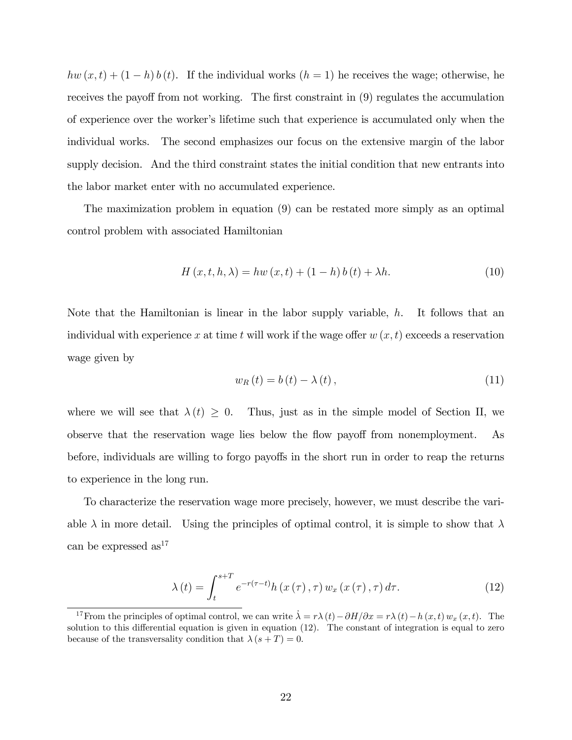$hw(x, t) + (1 - h) b(t)$ . If the individual works  $(h = 1)$  he receives the wage; otherwise, he receives the payoff from not working. The first constraint in  $(9)$  regulates the accumulation of experience over the workerís lifetime such that experience is accumulated only when the individual works. The second emphasizes our focus on the extensive margin of the labor supply decision. And the third constraint states the initial condition that new entrants into the labor market enter with no accumulated experience.

The maximization problem in equation (9) can be restated more simply as an optimal control problem with associated Hamiltonian

$$
H(x, t, h, \lambda) = hw(x, t) + (1 - h) b(t) + \lambda h.
$$
 (10)

Note that the Hamiltonian is linear in the labor supply variable,  $h$ . It follows that an individual with experience x at time t will work if the wage offer  $w(x, t)$  exceeds a reservation wage given by

$$
w_R(t) = b(t) - \lambda(t), \qquad (11)
$$

where we will see that  $\lambda(t) \geq 0$ . Thus, just as in the simple model of Section II, we observe that the reservation wage lies below the flow payoff from nonemployment. As before, individuals are willing to forgo payoffs in the short run in order to reap the returns to experience in the long run.

To characterize the reservation wage more precisely, however, we must describe the variable  $\lambda$  in more detail. Using the principles of optimal control, it is simple to show that  $\lambda$ can be expressed  $as<sup>17</sup>$ 

$$
\lambda(t) = \int_{t}^{s+T} e^{-r(\tau - t)} h(x(\tau), \tau) w_x(x(\tau), \tau) d\tau.
$$
 (12)

<sup>&</sup>lt;sup>17</sup> From the principles of optimal control, we can write  $\dot{\lambda} = r \lambda(t) - \partial H/\partial x = r \lambda(t) - h(x, t) w_x (x, t)$ . The solution to this differential equation is given in equation  $(12)$ . The constant of integration is equal to zero because of the transversality condition that  $\lambda (s + T) = 0$ .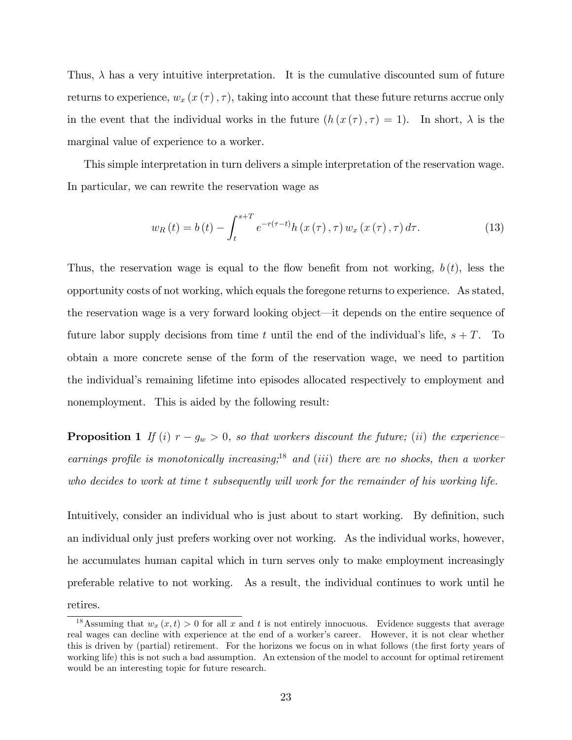Thus,  $\lambda$  has a very intuitive interpretation. It is the cumulative discounted sum of future returns to experience,  $w_x(x(\tau), \tau)$ , taking into account that these future returns accrue only in the event that the individual works in the future  $(h(x(\tau), \tau) = 1)$ . In short,  $\lambda$  is the marginal value of experience to a worker.

This simple interpretation in turn delivers a simple interpretation of the reservation wage. In particular, we can rewrite the reservation wage as

$$
w_{R}(t) = b(t) - \int_{t}^{s+T} e^{-r(\tau - t)} h(x(\tau), \tau) w_{x}(x(\tau), \tau) d\tau.
$$
 (13)

Thus, the reservation wage is equal to the flow benefit from not working,  $b(t)$ , less the opportunity costs of not working, which equals the foregone returns to experience. As stated, the reservation wage is a very forward looking object—it depends on the entire sequence of future labor supply decisions from time t until the end of the individual's life,  $s + T$ . To obtain a more concrete sense of the form of the reservation wage, we need to partition the individual's remaining lifetime into episodes allocated respectively to employment and nonemployment. This is aided by the following result:

**Proposition 1** If (i)  $r - g_w > 0$ , so that workers discount the future; (ii) the experienceearnings profile is monotonically increasing;<sup>18</sup> and (iii) there are no shocks, then a worker who decides to work at time t subsequently will work for the remainder of his working life.

Intuitively, consider an individual who is just about to start working. By definition, such an individual only just prefers working over not working. As the individual works, however, he accumulates human capital which in turn serves only to make employment increasingly preferable relative to not working. As a result, the individual continues to work until he retires.

<sup>&</sup>lt;sup>18</sup>Assuming that  $w_x(x,t) > 0$  for all x and t is not entirely innocuous. Evidence suggests that average real wages can decline with experience at the end of a worker's career. However, it is not clear whether this is driven by (partial) retirement. For the horizons we focus on in what follows (the first forty years of working life) this is not such a bad assumption. An extension of the model to account for optimal retirement would be an interesting topic for future research.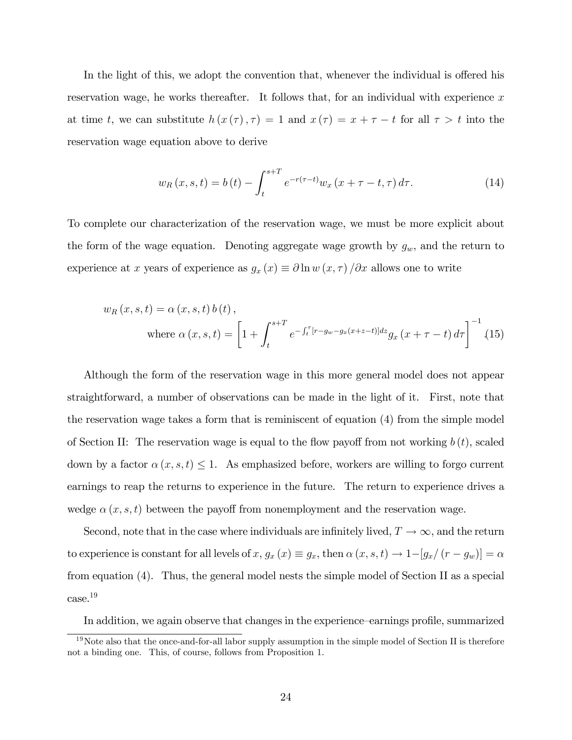In the light of this, we adopt the convention that, whenever the individual is offered his reservation wage, he works thereafter. It follows that, for an individual with experience  $x$ at time t, we can substitute  $h(x(\tau), \tau) = 1$  and  $x(\tau) = x + \tau - t$  for all  $\tau > t$  into the reservation wage equation above to derive

$$
w_R(x, s, t) = b(t) - \int_{t}^{s+T} e^{-r(\tau - t)} w_x(x + \tau - t, \tau) d\tau.
$$
 (14)

To complete our characterization of the reservation wage, we must be more explicit about the form of the wage equation. Denoting aggregate wage growth by  $g_w$ , and the return to experience at x years of experience as  $g_x(x) \equiv \partial \ln w(x, \tau) / \partial x$  allows one to write

$$
w_R(x, s, t) = \alpha(x, s, t) b(t),
$$
  
where  $\alpha(x, s, t) = \left[1 + \int_t^{s+T} e^{-\int_t^{\tau} [r - g_w - g_x(x+z-t)] dz} g_x(x + \tau - t) d\tau\right]^{-1}$ . (15)

Although the form of the reservation wage in this more general model does not appear straightforward, a number of observations can be made in the light of it. First, note that the reservation wage takes a form that is reminiscent of equation (4) from the simple model of Section II: The reservation wage is equal to the flow payoff from not working  $b(t)$ , scaled down by a factor  $\alpha(x, s, t) \leq 1$ . As emphasized before, workers are willing to forgo current earnings to reap the returns to experience in the future. The return to experience drives a wedge  $\alpha(x, s, t)$  between the payoff from nonemployment and the reservation wage.

Second, note that in the case where individuals are infinitely lived,  $T \to \infty$ , and the return to experience is constant for all levels of  $x, g_x(x) \equiv g_x$ , then  $\alpha(x, s, t) \rightarrow 1-[g_x/(r - g_w)] = \alpha$ from equation (4). Thus, the general model nests the simple model of Section II as a special case.<sup>19</sup>

In addition, we again observe that changes in the experience—earnings profile, summarized

 $19$ Note also that the once-and-for-all labor supply assumption in the simple model of Section II is therefore not a binding one. This, of course, follows from Proposition 1.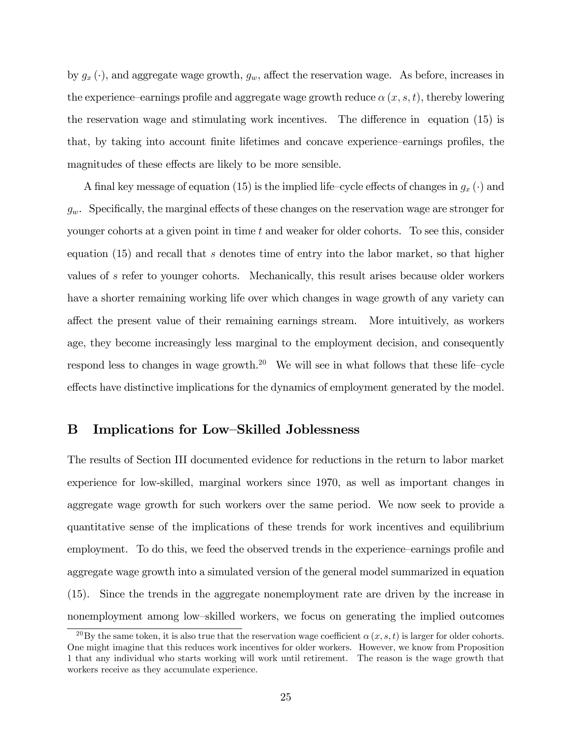by  $g_x(\cdot)$ , and aggregate wage growth,  $g_w$ , affect the reservation wage. As before, increases in the experience–earnings profile and aggregate wage growth reduce  $\alpha(x, s, t)$ , thereby lowering the reservation wage and stimulating work incentives. The difference in equation  $(15)$  is that, by taking into account finite lifetimes and concave experience earnings profiles, the magnitudes of these effects are likely to be more sensible.

A final key message of equation (15) is the implied life-cycle effects of changes in  $g_x(\cdot)$  and  $g_w$ . Specifically, the marginal effects of these changes on the reservation wage are stronger for younger cohorts at a given point in time t and weaker for older cohorts. To see this, consider equation (15) and recall that s denotes time of entry into the labor market, so that higher values of s refer to younger cohorts. Mechanically, this result arises because older workers have a shorter remaining working life over which changes in wage growth of any variety can a§ect the present value of their remaining earnings stream. More intuitively, as workers age, they become increasingly less marginal to the employment decision, and consequently respond less to changes in wage growth.<sup>20</sup> We will see in what follows that these life-cycle effects have distinctive implications for the dynamics of employment generated by the model.

#### B Implications for Low-Skilled Joblessness

The results of Section III documented evidence for reductions in the return to labor market experience for low-skilled, marginal workers since 1970, as well as important changes in aggregate wage growth for such workers over the same period. We now seek to provide a quantitative sense of the implications of these trends for work incentives and equilibrium employment. To do this, we feed the observed trends in the experience-earnings profile and aggregate wage growth into a simulated version of the general model summarized in equation (15). Since the trends in the aggregate nonemployment rate are driven by the increase in nonemployment among low-skilled workers, we focus on generating the implied outcomes

<sup>&</sup>lt;sup>20</sup>By the same token, it is also true that the reservation wage coefficient  $\alpha(x, s, t)$  is larger for older cohorts. One might imagine that this reduces work incentives for older workers. However, we know from Proposition 1 that any individual who starts working will work until retirement. The reason is the wage growth that workers receive as they accumulate experience.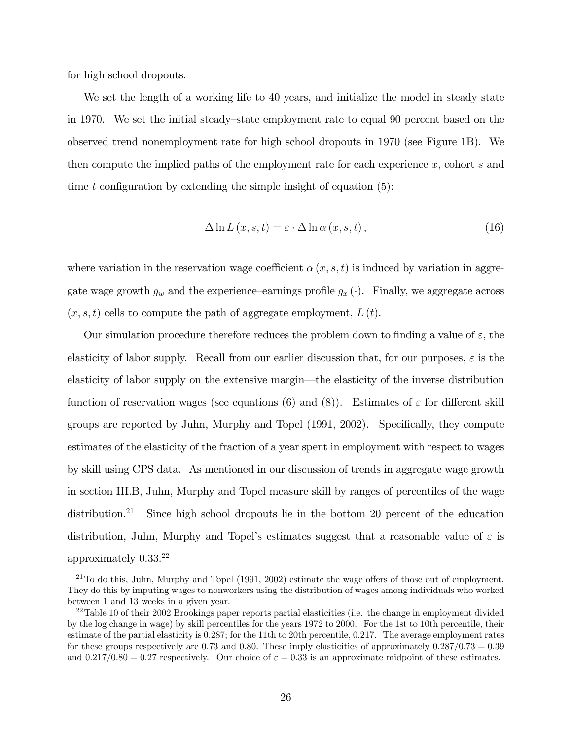for high school dropouts.

We set the length of a working life to 40 years, and initialize the model in steady state in 1970. We set the initial steady–state employment rate to equal 90 percent based on the observed trend nonemployment rate for high school dropouts in 1970 (see Figure 1B). We then compute the implied paths of the employment rate for each experience x, cohort s and time t configuration by extending the simple insight of equation  $(5)$ :

$$
\Delta \ln L(x, s, t) = \varepsilon \cdot \Delta \ln \alpha(x, s, t), \qquad (16)
$$

where variation in the reservation wage coefficient  $\alpha(x, s, t)$  is induced by variation in aggregate wage growth  $g_w$  and the experience-earnings profile  $g_x (\cdot)$ . Finally, we aggregate across  $(x, s, t)$  cells to compute the path of aggregate employment,  $L(t)$ .

Our simulation procedure therefore reduces the problem down to finding a value of  $\varepsilon$ , the elasticity of labor supply. Recall from our earlier discussion that, for our purposes,  $\varepsilon$  is the elasticity of labor supply on the extensive margin—the elasticity of the inverse distribution function of reservation wages (see equations (6) and (8)). Estimates of  $\varepsilon$  for different skill groups are reported by Juhn, Murphy and Topel (1991, 2002). Specifically, they compute estimates of the elasticity of the fraction of a year spent in employment with respect to wages by skill using CPS data. As mentioned in our discussion of trends in aggregate wage growth in section III.B, Juhn, Murphy and Topel measure skill by ranges of percentiles of the wage distribution.<sup>21</sup> Since high school dropouts lie in the bottom 20 percent of the education distribution, Juhn, Murphy and Topel's estimates suggest that a reasonable value of  $\varepsilon$  is approximately 0.33.<sup>22</sup>

 $^{21}$ To do this, Juhn, Murphy and Topel (1991, 2002) estimate the wage offers of those out of employment. They do this by imputing wages to nonworkers using the distribution of wages among individuals who worked between 1 and 13 weeks in a given year.

<sup>&</sup>lt;sup>22</sup>Table 10 of their 2002 Brookings paper reports partial elasticities (i.e. the change in employment divided by the log change in wage) by skill percentiles for the years 1972 to 2000. For the 1st to 10th percentile, their estimate of the partial elasticity is 0.287; for the 11th to 20th percentile, 0.217. The average employment rates for these groups respectively are 0.73 and 0.80. These imply elasticities of approximately  $0.287/0.73 = 0.39$ and  $0.217/0.80 = 0.27$  respectively. Our choice of  $\varepsilon = 0.33$  is an approximate midpoint of these estimates.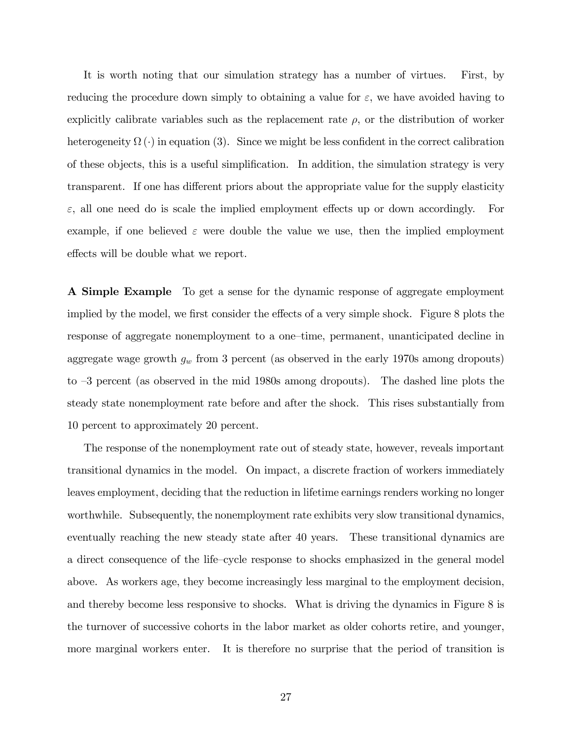It is worth noting that our simulation strategy has a number of virtues. First, by reducing the procedure down simply to obtaining a value for  $\varepsilon$ , we have avoided having to explicitly calibrate variables such as the replacement rate  $\rho$ , or the distribution of worker heterogeneity  $\Omega(\cdot)$  in equation (3). Since we might be less confident in the correct calibration of these objects, this is a useful simplification. In addition, the simulation strategy is very transparent. If one has different priors about the appropriate value for the supply elasticity  $\varepsilon$ , all one need do is scale the implied employment effects up or down accordingly. For example, if one believed  $\varepsilon$  were double the value we use, then the implied employment effects will be double what we report.

A Simple Example To get a sense for the dynamic response of aggregate employment implied by the model, we first consider the effects of a very simple shock. Figure 8 plots the response of aggregate nonemployment to a one-time, permanent, unanticipated decline in aggregate wage growth  $g_w$  from 3 percent (as observed in the early 1970s among dropouts) to  $-3$  percent (as observed in the mid 1980s among dropouts). The dashed line plots the steady state nonemployment rate before and after the shock. This rises substantially from 10 percent to approximately 20 percent.

The response of the nonemployment rate out of steady state, however, reveals important transitional dynamics in the model. On impact, a discrete fraction of workers immediately leaves employment, deciding that the reduction in lifetime earnings renders working no longer worthwhile. Subsequently, the nonemployment rate exhibits very slow transitional dynamics, eventually reaching the new steady state after 40 years. These transitional dynamics are a direct consequence of the life-cycle response to shocks emphasized in the general model above. As workers age, they become increasingly less marginal to the employment decision, and thereby become less responsive to shocks. What is driving the dynamics in Figure 8 is the turnover of successive cohorts in the labor market as older cohorts retire, and younger, more marginal workers enter. It is therefore no surprise that the period of transition is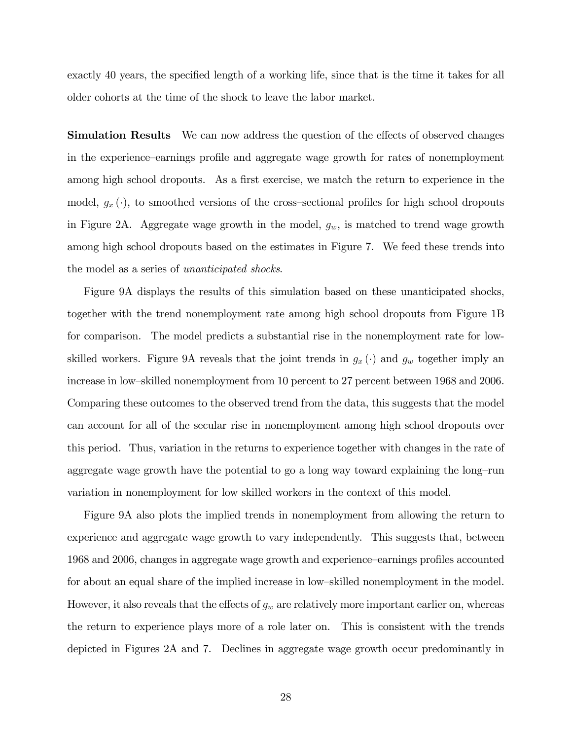exactly 40 years, the specified length of a working life, since that is the time it takes for all older cohorts at the time of the shock to leave the labor market.

**Simulation Results** We can now address the question of the effects of observed changes in the experience–earnings profile and aggregate wage growth for rates of nonemployment among high school dropouts. As a first exercise, we match the return to experience in the model,  $g_x(\cdot)$ , to smoothed versions of the cross-sectional profiles for high school dropouts in Figure 2A. Aggregate wage growth in the model,  $g_w$ , is matched to trend wage growth among high school dropouts based on the estimates in Figure 7. We feed these trends into the model as a series of unanticipated shocks.

Figure 9A displays the results of this simulation based on these unanticipated shocks, together with the trend nonemployment rate among high school dropouts from Figure 1B for comparison. The model predicts a substantial rise in the nonemployment rate for lowskilled workers. Figure 9A reveals that the joint trends in  $g_x(\cdot)$  and  $g_w$  together imply an increase in low-skilled nonemployment from 10 percent to 27 percent between 1968 and 2006. Comparing these outcomes to the observed trend from the data, this suggests that the model can account for all of the secular rise in nonemployment among high school dropouts over this period. Thus, variation in the returns to experience together with changes in the rate of aggregate wage growth have the potential to go a long way toward explaining the long-run variation in nonemployment for low skilled workers in the context of this model.

Figure 9A also plots the implied trends in nonemployment from allowing the return to experience and aggregate wage growth to vary independently. This suggests that, between 1968 and 2006, changes in aggregate wage growth and experience–earnings profiles accounted for about an equal share of the implied increase in low-skilled nonemployment in the model. However, it also reveals that the effects of  $g_w$  are relatively more important earlier on, whereas the return to experience plays more of a role later on. This is consistent with the trends depicted in Figures 2A and 7. Declines in aggregate wage growth occur predominantly in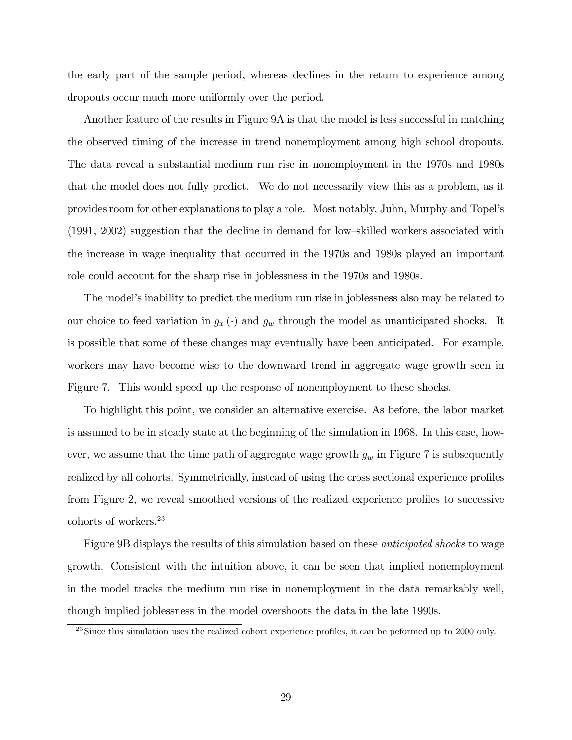the early part of the sample period, whereas declines in the return to experience among dropouts occur much more uniformly over the period.

Another feature of the results in Figure 9A is that the model is less successful in matching the observed timing of the increase in trend nonemployment among high school dropouts. The data reveal a substantial medium run rise in nonemployment in the 1970s and 1980s that the model does not fully predict. We do not necessarily view this as a problem, as it provides room for other explanations to play a role. Most notably, Juhn, Murphy and Topelís  $(1991, 2002)$  suggestion that the decline in demand for low-skilled workers associated with the increase in wage inequality that occurred in the 1970s and 1980s played an important role could account for the sharp rise in joblessness in the 1970s and 1980s.

The model's inability to predict the medium run rise in joblessness also may be related to our choice to feed variation in  $g_x(\cdot)$  and  $g_w$  through the model as unanticipated shocks. It is possible that some of these changes may eventually have been anticipated. For example, workers may have become wise to the downward trend in aggregate wage growth seen in Figure 7. This would speed up the response of nonemployment to these shocks.

To highlight this point, we consider an alternative exercise. As before, the labor market is assumed to be in steady state at the beginning of the simulation in 1968. In this case, however, we assume that the time path of aggregate wage growth  $g_w$  in Figure 7 is subsequently realized by all cohorts. Symmetrically, instead of using the cross sectional experience profiles from Figure 2, we reveal smoothed versions of the realized experience profiles to successive cohorts of workers.<sup>23</sup>

Figure 9B displays the results of this simulation based on these anticipated shocks to wage growth. Consistent with the intuition above, it can be seen that implied nonemployment in the model tracks the medium run rise in nonemployment in the data remarkably well, though implied joblessness in the model overshoots the data in the late 1990s.

 $^{23}$ Since this simulation uses the realized cohort experience profiles, it can be peformed up to 2000 only.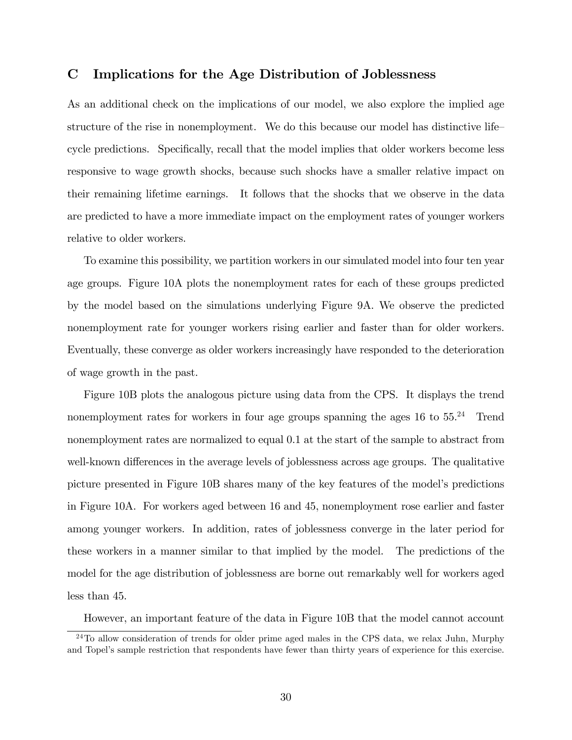#### C Implications for the Age Distribution of Joblessness

As an additional check on the implications of our model, we also explore the implied age structure of the rise in nonemployment. We do this because our model has distinctive life cycle predictions. Specifically, recall that the model implies that older workers become less responsive to wage growth shocks, because such shocks have a smaller relative impact on their remaining lifetime earnings. It follows that the shocks that we observe in the data are predicted to have a more immediate impact on the employment rates of younger workers relative to older workers.

To examine this possibility, we partition workers in our simulated model into four ten year age groups. Figure 10A plots the nonemployment rates for each of these groups predicted by the model based on the simulations underlying Figure 9A. We observe the predicted nonemployment rate for younger workers rising earlier and faster than for older workers. Eventually, these converge as older workers increasingly have responded to the deterioration of wage growth in the past.

Figure 10B plots the analogous picture using data from the CPS. It displays the trend nonemployment rates for workers in four age groups spanning the ages  $16$  to  $55.^{24}$  Trend nonemployment rates are normalized to equal 0.1 at the start of the sample to abstract from well-known differences in the average levels of joblessness across age groups. The qualitative picture presented in Figure 10B shares many of the key features of the model's predictions in Figure 10A. For workers aged between 16 and 45, nonemployment rose earlier and faster among younger workers. In addition, rates of joblessness converge in the later period for these workers in a manner similar to that implied by the model. The predictions of the model for the age distribution of joblessness are borne out remarkably well for workers aged less than 45.

However, an important feature of the data in Figure 10B that the model cannot account

 $\frac{24}{10}$  allow consideration of trends for older prime aged males in the CPS data, we relax Juhn, Murphy and Topel's sample restriction that respondents have fewer than thirty years of experience for this exercise.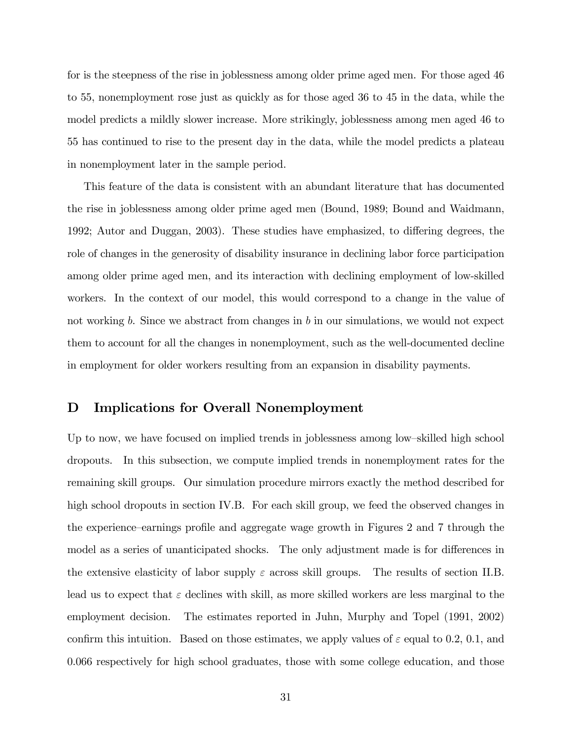for is the steepness of the rise in joblessness among older prime aged men. For those aged 46 to 55, nonemployment rose just as quickly as for those aged 36 to 45 in the data, while the model predicts a mildly slower increase. More strikingly, joblessness among men aged 46 to 55 has continued to rise to the present day in the data, while the model predicts a plateau in nonemployment later in the sample period.

This feature of the data is consistent with an abundant literature that has documented the rise in joblessness among older prime aged men (Bound, 1989; Bound and Waidmann, 1992; Autor and Duggan, 2003). These studies have emphasized, to differing degrees, the role of changes in the generosity of disability insurance in declining labor force participation among older prime aged men, and its interaction with declining employment of low-skilled workers. In the context of our model, this would correspond to a change in the value of not working b. Since we abstract from changes in b in our simulations, we would not expect them to account for all the changes in nonemployment, such as the well-documented decline in employment for older workers resulting from an expansion in disability payments.

#### D Implications for Overall Nonemployment

Up to now, we have focused on implied trends in joblessness among low-skilled high school dropouts. In this subsection, we compute implied trends in nonemployment rates for the remaining skill groups. Our simulation procedure mirrors exactly the method described for high school dropouts in section IV.B. For each skill group, we feed the observed changes in the experience–earnings profile and aggregate wage growth in Figures 2 and 7 through the model as a series of unanticipated shocks. The only adjustment made is for differences in the extensive elasticity of labor supply  $\varepsilon$  across skill groups. The results of section II.B. lead us to expect that  $\varepsilon$  declines with skill, as more skilled workers are less marginal to the employment decision. The estimates reported in Juhn, Murphy and Topel (1991, 2002) confirm this intuition. Based on those estimates, we apply values of  $\varepsilon$  equal to 0.2, 0.1, and 0.066 respectively for high school graduates, those with some college education, and those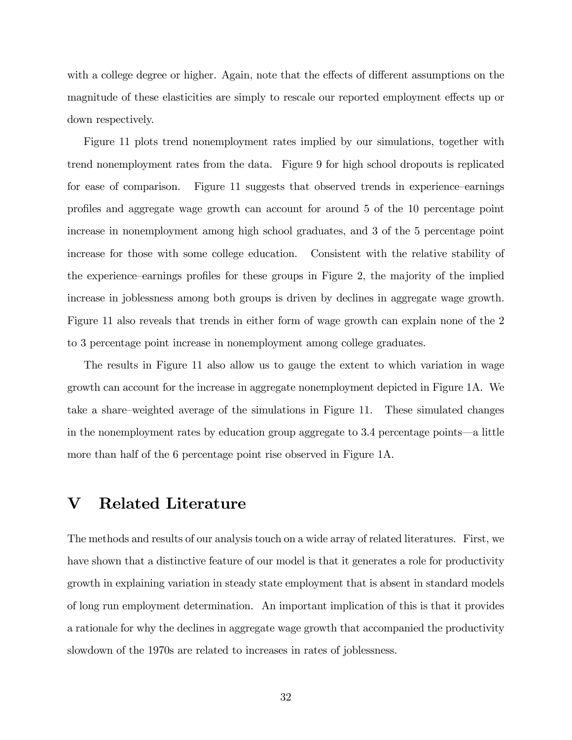with a college degree or higher. Again, note that the effects of different assumptions on the magnitude of these elasticities are simply to rescale our reported employment effects up or down respectively.

Figure 11 plots trend nonemployment rates implied by our simulations, together with trend nonemployment rates from the data. Figure 9 for high school dropouts is replicated for ease of comparison. Figure 11 suggests that observed trends in experience–earnings proÖles and aggregate wage growth can account for around 5 of the 10 percentage point increase in nonemployment among high school graduates, and 3 of the 5 percentage point increase for those with some college education. Consistent with the relative stability of the experience–earnings profiles for these groups in Figure 2, the majority of the implied increase in joblessness among both groups is driven by declines in aggregate wage growth. Figure 11 also reveals that trends in either form of wage growth can explain none of the 2 to 3 percentage point increase in nonemployment among college graduates.

The results in Figure 11 also allow us to gauge the extent to which variation in wage growth can account for the increase in aggregate nonemployment depicted in Figure 1A. We take a share–weighted average of the simulations in Figure 11. These simulated changes in the nonemployment rates by education group aggregate to  $3.4$  percentage points—a little more than half of the 6 percentage point rise observed in Figure 1A.

### V Related Literature

The methods and results of our analysis touch on a wide array of related literatures. First, we have shown that a distinctive feature of our model is that it generates a role for productivity growth in explaining variation in steady state employment that is absent in standard models of long run employment determination. An important implication of this is that it provides a rationale for why the declines in aggregate wage growth that accompanied the productivity slowdown of the 1970s are related to increases in rates of joblessness.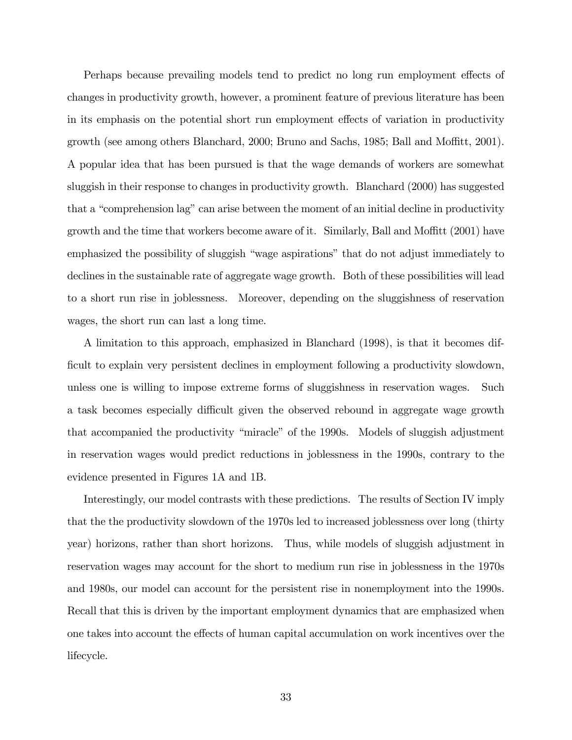Perhaps because prevailing models tend to predict no long run employment effects of changes in productivity growth, however, a prominent feature of previous literature has been in its emphasis on the potential short run employment effects of variation in productivity growth (see among others Blanchard, 2000; Bruno and Sachs, 1985; Ball and Moffitt, 2001). A popular idea that has been pursued is that the wage demands of workers are somewhat sluggish in their response to changes in productivity growth. Blanchard (2000) has suggested that a "comprehension lag" can arise between the moment of an initial decline in productivity growth and the time that workers become aware of it. Similarly, Ball and Moffitt  $(2001)$  have emphasized the possibility of sluggish "wage aspirations" that do not adjust immediately to declines in the sustainable rate of aggregate wage growth. Both of these possibilities will lead to a short run rise in joblessness. Moreover, depending on the sluggishness of reservation wages, the short run can last a long time.

A limitation to this approach, emphasized in Blanchard (1998), is that it becomes difficult to explain very persistent declines in employment following a productivity slowdown, unless one is willing to impose extreme forms of sluggishness in reservation wages. Such a task becomes especially difficult given the observed rebound in aggregate wage growth that accompanied the productivity "miracle" of the 1990s. Models of sluggish adjustment in reservation wages would predict reductions in joblessness in the 1990s, contrary to the evidence presented in Figures 1A and 1B.

Interestingly, our model contrasts with these predictions. The results of Section IV imply that the the productivity slowdown of the 1970s led to increased joblessness over long (thirty year) horizons, rather than short horizons. Thus, while models of sluggish adjustment in reservation wages may account for the short to medium run rise in joblessness in the 1970s and 1980s, our model can account for the persistent rise in nonemployment into the 1990s. Recall that this is driven by the important employment dynamics that are emphasized when one takes into account the effects of human capital accumulation on work incentives over the lifecycle.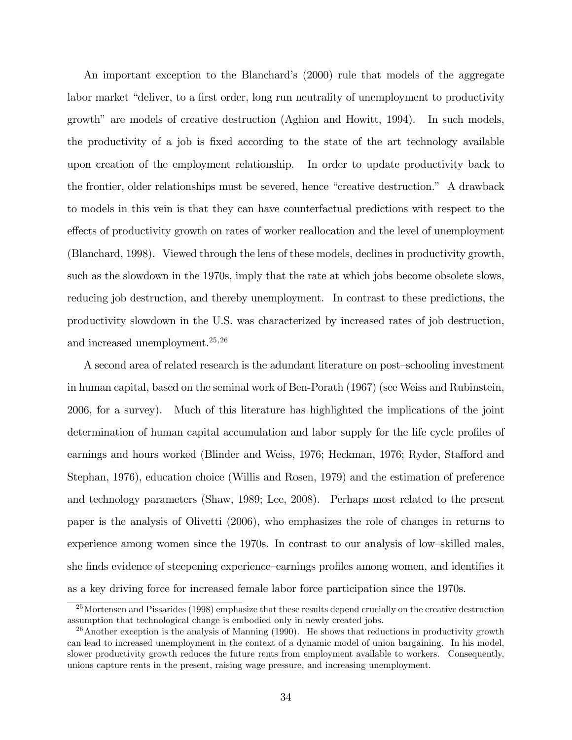An important exception to the Blanchard's (2000) rule that models of the aggregate labor market "deliver, to a first order, long run neutrality of unemployment to productivity growth" are models of creative destruction  $(Aghion and Howitt, 1994)$ . In such models, the productivity of a job is fixed according to the state of the art technology available upon creation of the employment relationship. In order to update productivity back to the frontier, older relationships must be severed, hence "creative destruction." A drawback to models in this vein is that they can have counterfactual predictions with respect to the effects of productivity growth on rates of worker reallocation and the level of unemployment (Blanchard, 1998). Viewed through the lens of these models, declines in productivity growth, such as the slowdown in the 1970s, imply that the rate at which jobs become obsolete slows, reducing job destruction, and thereby unemployment. In contrast to these predictions, the productivity slowdown in the U.S. was characterized by increased rates of job destruction, and increased unemployment.<sup>25,26</sup>

A second area of related research is the adundant literature on post-schooling investment in human capital, based on the seminal work of Ben-Porath (1967) (see Weiss and Rubinstein, 2006, for a survey). Much of this literature has highlighted the implications of the joint determination of human capital accumulation and labor supply for the life cycle profiles of earnings and hours worked (Blinder and Weiss, 1976; Heckman, 1976; Ryder, Stafford and Stephan, 1976), education choice (Willis and Rosen, 1979) and the estimation of preference and technology parameters (Shaw, 1989; Lee, 2008). Perhaps most related to the present paper is the analysis of Olivetti (2006), who emphasizes the role of changes in returns to experience among women since the 1970s. In contrast to our analysis of low-skilled males, she finds evidence of steepening experience–earnings profiles among women, and identifies it as a key driving force for increased female labor force participation since the 1970s.

<sup>&</sup>lt;sup>25</sup>Mortensen and Pissarides (1998) emphasize that these results depend crucially on the creative destruction assumption that technological change is embodied only in newly created jobs.

 $26$ Another exception is the analysis of Manning (1990). He shows that reductions in productivity growth can lead to increased unemployment in the context of a dynamic model of union bargaining. In his model, slower productivity growth reduces the future rents from employment available to workers. Consequently, unions capture rents in the present, raising wage pressure, and increasing unemployment.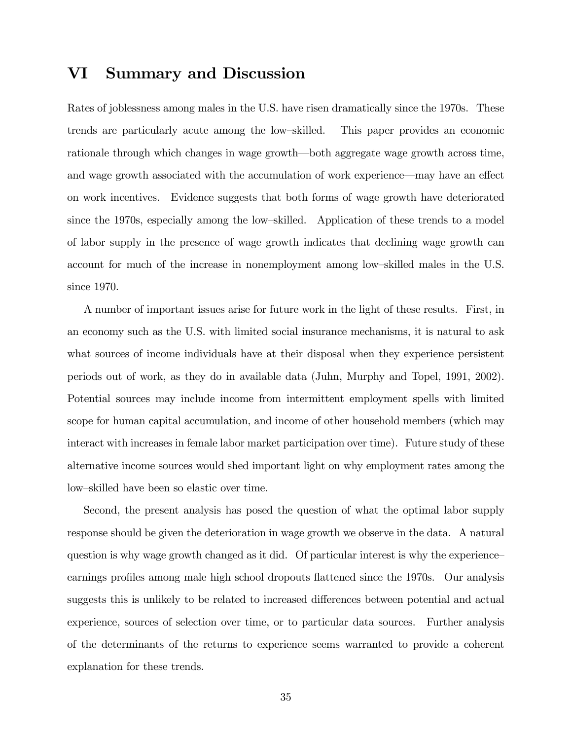### VI Summary and Discussion

Rates of joblessness among males in the U.S. have risen dramatically since the 1970s. These trends are particularly acute among the low-skilled. This paper provides an economic rationale through which changes in wage growth—both aggregate wage growth across time, and wage growth associated with the accumulation of work experience—may have an effect on work incentives. Evidence suggests that both forms of wage growth have deteriorated since the 1970s, especially among the low-skilled. Application of these trends to a model of labor supply in the presence of wage growth indicates that declining wage growth can account for much of the increase in nonemployment among low-skilled males in the U.S. since 1970.

A number of important issues arise for future work in the light of these results. First, in an economy such as the U.S. with limited social insurance mechanisms, it is natural to ask what sources of income individuals have at their disposal when they experience persistent periods out of work, as they do in available data (Juhn, Murphy and Topel, 1991, 2002). Potential sources may include income from intermittent employment spells with limited scope for human capital accumulation, and income of other household members (which may interact with increases in female labor market participation over time). Future study of these alternative income sources would shed important light on why employment rates among the low-skilled have been so elastic over time.

Second, the present analysis has posed the question of what the optimal labor supply response should be given the deterioration in wage growth we observe in the data. A natural question is why wage growth changed as it did. Of particular interest is why the experienceearnings profiles among male high school dropouts flattened since the 1970s. Our analysis suggests this is unlikely to be related to increased differences between potential and actual experience, sources of selection over time, or to particular data sources. Further analysis of the determinants of the returns to experience seems warranted to provide a coherent explanation for these trends.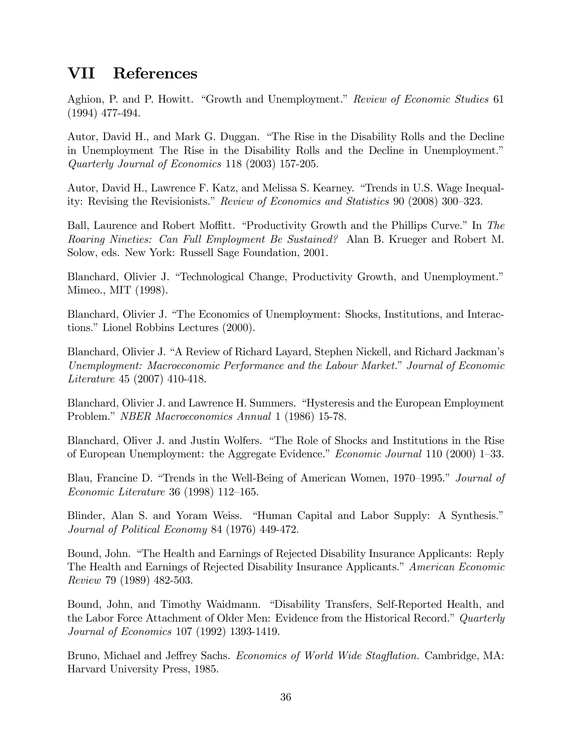## VII References

Aghion, P. and P. Howitt. "Growth and Unemployment." Review of Economic Studies 61 (1994) 477-494.

Autor, David H., and Mark G. Duggan. "The Rise in the Disability Rolls and the Decline in Unemployment The Rise in the Disability Rolls and the Decline in Unemployment.<sup>"</sup> Quarterly Journal of Economics 118 (2003) 157-205.

Autor, David H., Lawrence F. Katz, and Melissa S. Kearney. "Trends in U.S. Wage Inequality: Revising the Revisionists." Review of Economics and Statistics 90 (2008) 300–323.

Ball, Laurence and Robert Moffitt. "Productivity Growth and the Phillips Curve." In The Roaring Nineties: Can Full Employment Be Sustained? Alan B. Krueger and Robert M. Solow, eds. New York: Russell Sage Foundation, 2001.

Blanchard, Olivier J. "Technological Change, Productivity Growth, and Unemployment." Mimeo., MIT (1998).

Blanchard, Olivier J. "The Economics of Unemployment: Shocks, Institutions, and Interactions." Lionel Robbins Lectures (2000).

Blanchard, Olivier J. "A Review of Richard Layard, Stephen Nickell, and Richard Jackman's Unemployment: Macroeconomic Performance and the Labour Market." Journal of Economic Literature 45 (2007) 410-418.

Blanchard, Olivier J. and Lawrence H. Summers. "Hysteresis and the European Employment Problem." *NBER Macroeconomics Annual* 1 (1986) 15-78.

Blanchard, Oliver J. and Justin Wolfers. "The Role of Shocks and Institutions in the Rise of European Unemployment: the Aggregate Evidence." *Economic Journal* 110 (2000) 1–33.

Blau, Francine D. "Trends in the Well-Being of American Women, 1970–1995." Journal of Economic Literature 36 (1998) 112–165.

Blinder, Alan S. and Yoram Weiss. "Human Capital and Labor Supply: A Synthesis." Journal of Political Economy 84 (1976) 449-472.

Bound, John. "The Health and Earnings of Rejected Disability Insurance Applicants: Reply The Health and Earnings of Rejected Disability Insurance Applicants.<sup>n</sup> American Economic Review 79 (1989) 482-503.

Bound, John, and Timothy Waidmann. "Disability Transfers, Self-Reported Health, and the Labor Force Attachment of Older Men: Evidence from the Historical Record." Quarterly Journal of Economics 107 (1992) 1393-1419.

Bruno, Michael and Jeffrey Sachs. *Economics of World Wide Stagflation*. Cambridge, MA: Harvard University Press, 1985.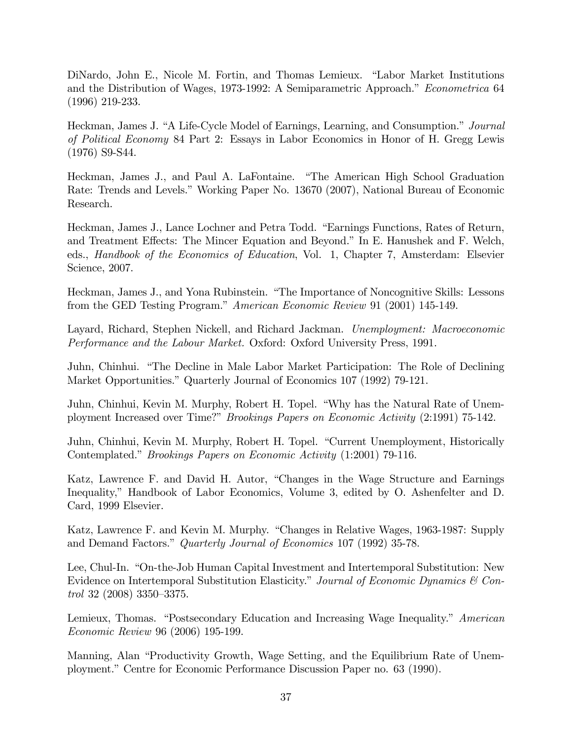DiNardo, John E., Nicole M. Fortin, and Thomas Lemieux. "Labor Market Institutions and the Distribution of Wages, 1973-1992: A Semiparametric Approach." Econometrica 64 (1996) 219-233.

Heckman, James J. "A Life-Cycle Model of Earnings, Learning, and Consumption." Journal of Political Economy 84 Part 2: Essays in Labor Economics in Honor of H. Gregg Lewis (1976) S9-S44.

Heckman, James J., and Paul A. LaFontaine. "The American High School Graduation Rate: Trends and Levels." Working Paper No. 13670 (2007), National Bureau of Economic Research.

Heckman, James J., Lance Lochner and Petra Todd. "Earnings Functions, Rates of Return, and Treatment Effects: The Mincer Equation and Beyond." In E. Hanushek and F. Welch, eds., Handbook of the Economics of Education, Vol. 1, Chapter 7, Amsterdam: Elsevier Science, 2007.

Heckman, James J., and Yona Rubinstein. "The Importance of Noncognitive Skills: Lessons from the GED Testing Program." American Economic Review 91 (2001) 145-149.

Layard, Richard, Stephen Nickell, and Richard Jackman. Unemployment: Macroeconomic Performance and the Labour Market. Oxford: Oxford University Press, 1991.

Juhn, Chinhui. "The Decline in Male Labor Market Participation: The Role of Declining Market Opportunities." Quarterly Journal of Economics 107 (1992) 79-121.

Juhn, Chinhui, Kevin M. Murphy, Robert H. Topel. "Why has the Natural Rate of Unemployment Increased over Time?" Brookings Papers on Economic Activity (2:1991) 75-142.

Juhn, Chinhui, Kevin M. Murphy, Robert H. Topel. "Current Unemployment, Historically Contemplated." *Brookings Papers on Economic Activity* (1:2001) 79-116.

Katz, Lawrence F. and David H. Autor, "Changes in the Wage Structure and Earnings Inequality," Handbook of Labor Economics, Volume 3, edited by O. Ashenfelter and D. Card, 1999 Elsevier.

Katz, Lawrence F. and Kevin M. Murphy. "Changes in Relative Wages, 1963-1987: Supply and Demand Factors." Quarterly Journal of Economics 107 (1992) 35-78.

Lee, Chul-In. "On-the-Job Human Capital Investment and Intertemporal Substitution: New Evidence on Intertemporal Substitution Elasticity." Journal of Economic Dynamics & Con $trol$  32 (2008) 3350-3375.

Lemieux, Thomas. "Postsecondary Education and Increasing Wage Inequality." American Economic Review 96 (2006) 195-199.

Manning, Alan "Productivity Growth, Wage Setting, and the Equilibrium Rate of Unemployment." Centre for Economic Performance Discussion Paper no. 63 (1990).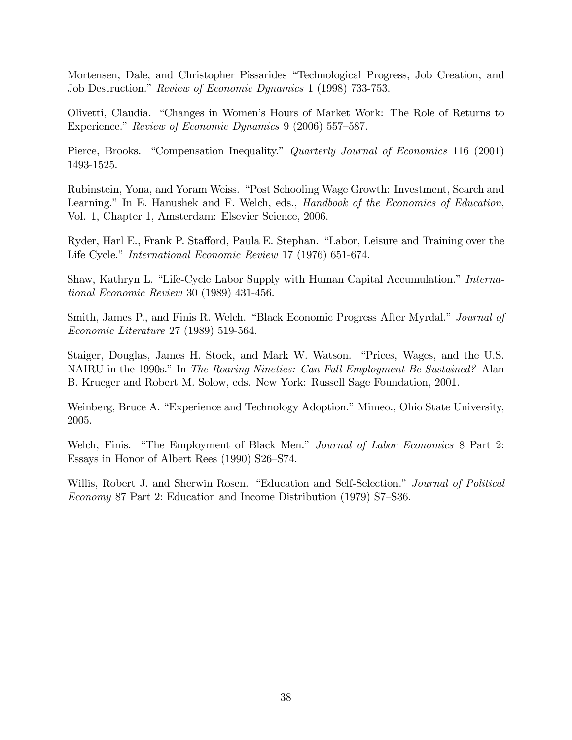Mortensen, Dale, and Christopher Pissarides "Technological Progress, Job Creation, and Job Destruction." Review of Economic Dynamics 1 (1998) 733-753.

Olivetti, Claudia. "Changes in Women's Hours of Market Work: The Role of Returns to Experience." Review of Economic Dynamics 9 (2006) 557–587.

Pierce, Brooks. "Compensation Inequality." Quarterly Journal of Economics 116 (2001) 1493-1525.

Rubinstein, Yona, and Yoram Weiss. "Post Schooling Wage Growth: Investment, Search and Learning." In E. Hanushek and F. Welch, eds., *Handbook of the Economics of Education*, Vol. 1, Chapter 1, Amsterdam: Elsevier Science, 2006.

Ryder, Harl E., Frank P. Stafford, Paula E. Stephan. "Labor, Leisure and Training over the Life Cycle." *International Economic Review* 17 (1976) 651-674.

Shaw, Kathryn L. "Life-Cycle Labor Supply with Human Capital Accumulation." *Interna*tional Economic Review 30 (1989) 431-456.

Smith, James P., and Finis R. Welch. "Black Economic Progress After Myrdal." Journal of Economic Literature 27 (1989) 519-564.

Staiger, Douglas, James H. Stock, and Mark W. Watson. "Prices, Wages, and the U.S. NAIRU in the 1990s." In The Roaring Nineties: Can Full Employment Be Sustained? Alan B. Krueger and Robert M. Solow, eds. New York: Russell Sage Foundation, 2001.

Weinberg, Bruce A. "Experience and Technology Adoption." Mimeo., Ohio State University, 2005.

Welch, Finis. "The Employment of Black Men." Journal of Labor Economics 8 Part 2: Essays in Honor of Albert Rees  $(1990)$  S26–S74.

Willis, Robert J. and Sherwin Rosen. "Education and Self-Selection." Journal of Political Economy 87 Part 2: Education and Income Distribution  $(1979)$  S7–S36.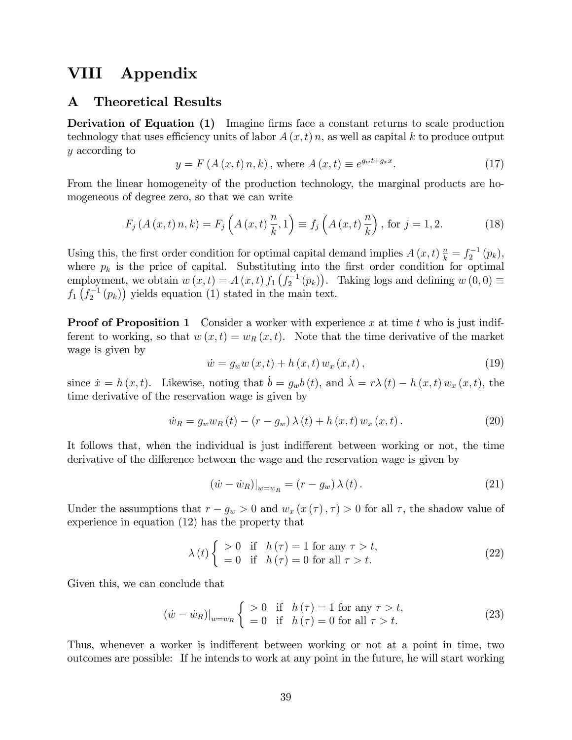## VIII Appendix

#### A Theoretical Results

**Derivation of Equation (1)** Imagine firms face a constant returns to scale production technology that uses efficiency units of labor  $A(x, t)$  n, as well as capital k to produce output y according to

$$
y = F(A(x, t) n, k)
$$
, where  $A(x, t) \equiv e^{g_{w}t + g_{x}x}$ . (17)

From the linear homogeneity of the production technology, the marginal products are homogeneous of degree zero, so that we can write

$$
F_j(A(x,t)n, k) = F_j\left(A(x,t)\frac{n}{k}, 1\right) \equiv f_j\left(A(x,t)\frac{n}{k}\right), \text{ for } j = 1, 2. \tag{18}
$$

Using this, the first order condition for optimal capital demand implies  $A(x,t) \frac{n}{k} = f_2^{-1}(p_k)$ , where  $p_k$  is the price of capital. Substituting into the first order condition for optimal employment, we obtain  $w(x,t) = A(x,t) f_1(f_2^{-1}(p_k))$ . Taking logs and defining  $w(0,0) \equiv$  $f_1\left(f_2^{-1}(p_k)\right)$  yields equation (1) stated in the main text.

**Proof of Proposition 1** Consider a worker with experience x at time t who is just indifferent to working, so that  $w(x,t) = w_R(x,t)$ . Note that the time derivative of the market wage is given by

$$
\dot{w} = g_w w(x, t) + h(x, t) w_x(x, t), \qquad (19)
$$

since  $\dot{x} = h (x, t)$ . Likewise, noting that  $\dot{b} = g_w b (t)$ , and  $\dot{\lambda} = r \lambda (t) - h (x, t) w_x (x, t)$ , the time derivative of the reservation wage is given by

$$
\dot{w}_R = g_w w_R(t) - (r - g_w) \lambda(t) + h(x, t) w_x(x, t).
$$
 (20)

It follows that, when the individual is just indifferent between working or not, the time derivative of the difference between the wage and the reservation wage is given by

$$
(\dot{w} - \dot{w}_R)|_{w = w_R} = (r - g_w) \lambda(t).
$$
 (21)

Under the assumptions that  $r - g_w > 0$  and  $w_x(x(\tau), \tau) > 0$  for all  $\tau$ , the shadow value of experience in equation (12) has the property that

$$
\lambda(t) \begin{cases}\n>0 & \text{if } h(\tau) = 1 \text{ for any } \tau > t, \\
=0 & \text{if } h(\tau) = 0 \text{ for all } \tau > t.\n\end{cases}
$$
\n(22)

Given this, we can conclude that

$$
(\dot{w} - \dot{w}_R)|_{w=w_R} \begin{cases} > 0 & \text{if } h(\tau) = 1 \text{ for any } \tau > t, \\ = 0 & \text{if } h(\tau) = 0 \text{ for all } \tau > t. \end{cases}
$$
(23)

Thus, whenever a worker is indifferent between working or not at a point in time, two outcomes are possible: If he intends to work at any point in the future, he will start working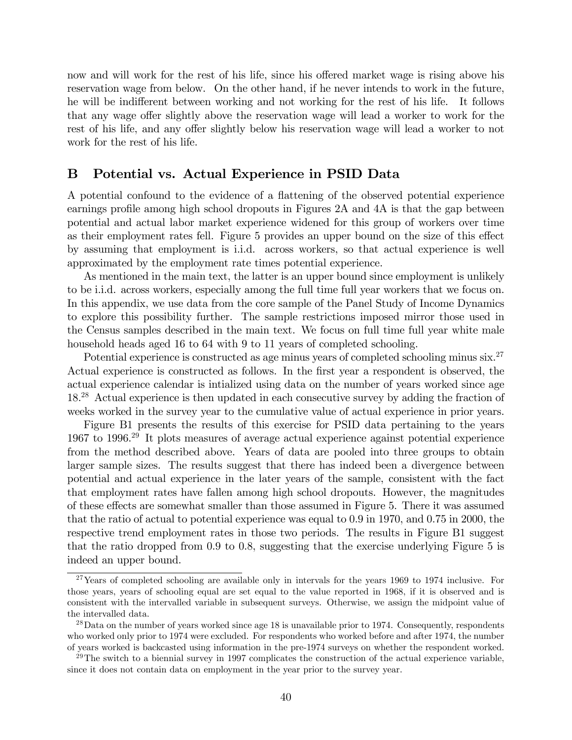now and will work for the rest of his life, since his offered market wage is rising above his reservation wage from below. On the other hand, if he never intends to work in the future, he will be indifferent between working and not working for the rest of his life. It follows that any wage offer slightly above the reservation wage will lead a worker to work for the rest of his life, and any offer slightly below his reservation wage will lead a worker to not work for the rest of his life.

#### B Potential vs. Actual Experience in PSID Data

A potential confound to the evidence of a áattening of the observed potential experience earnings profile among high school dropouts in Figures 2A and 4A is that the gap between potential and actual labor market experience widened for this group of workers over time as their employment rates fell. Figure 5 provides an upper bound on the size of this effect by assuming that employment is i.i.d. across workers, so that actual experience is well approximated by the employment rate times potential experience.

As mentioned in the main text, the latter is an upper bound since employment is unlikely to be i.i.d. across workers, especially among the full time full year workers that we focus on. In this appendix, we use data from the core sample of the Panel Study of Income Dynamics to explore this possibility further. The sample restrictions imposed mirror those used in the Census samples described in the main text. We focus on full time full year white male household heads aged 16 to 64 with 9 to 11 years of completed schooling.

Potential experience is constructed as age minus years of completed schooling minus six.<sup>27</sup> Actual experience is constructed as follows. In the first year a respondent is observed, the actual experience calendar is intialized using data on the number of years worked since age 18.<sup>28</sup> Actual experience is then updated in each consecutive survey by adding the fraction of weeks worked in the survey year to the cumulative value of actual experience in prior years.

Figure B1 presents the results of this exercise for PSID data pertaining to the years 1967 to 1996.<sup>29</sup> It plots measures of average actual experience against potential experience from the method described above. Years of data are pooled into three groups to obtain larger sample sizes. The results suggest that there has indeed been a divergence between potential and actual experience in the later years of the sample, consistent with the fact that employment rates have fallen among high school dropouts. However, the magnitudes of these effects are somewhat smaller than those assumed in Figure 5. There it was assumed that the ratio of actual to potential experience was equal to 0.9 in 1970, and 0.75 in 2000, the respective trend employment rates in those two periods. The results in Figure B1 suggest that the ratio dropped from 0.9 to 0.8, suggesting that the exercise underlying Figure 5 is indeed an upper bound.

 $27$ Years of completed schooling are available only in intervals for the years 1969 to 1974 inclusive. For those years, years of schooling equal are set equal to the value reported in 1968, if it is observed and is consistent with the intervalled variable in subsequent surveys. Otherwise, we assign the midpoint value of the intervalled data.

 $^{28}$ Data on the number of years worked since age 18 is unavailable prior to 1974. Consequently, respondents who worked only prior to 1974 were excluded. For respondents who worked before and after 1974, the number of years worked is backcasted using information in the pre-1974 surveys on whether the respondent worked.

 $^{29}$ The switch to a biennial survey in 1997 complicates the construction of the actual experience variable, since it does not contain data on employment in the year prior to the survey year.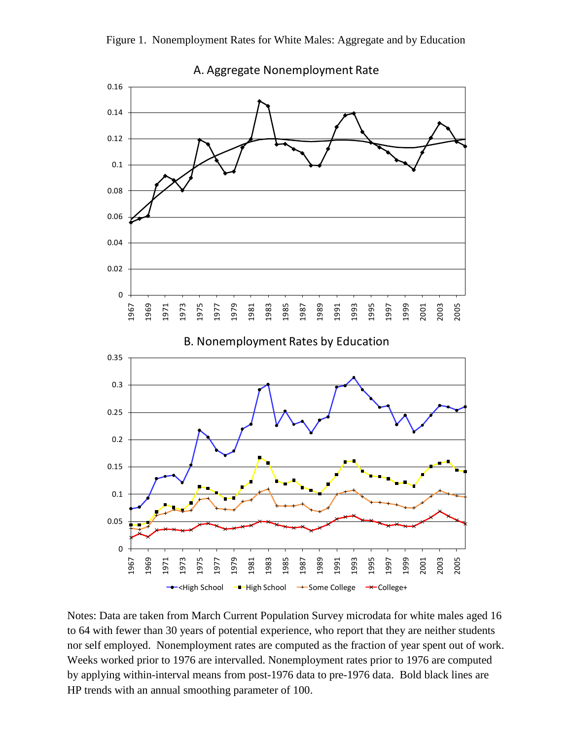



Notes: Data are taken from March Current Population Survey microdata for white males aged 16 to 64 with fewer than 30 years of potential experience, who report that they are neither students nor self employed. Nonemployment rates are computed as the fraction of year spent out of work. Weeks worked prior to 1976 are intervalled. Nonemployment rates prior to 1976 are computed by applying within-interval means from post-1976 data to pre-1976 data. Bold black lines are HP trends with an annual smoothing parameter of 100.

A. Aggregate Nonemployment Rate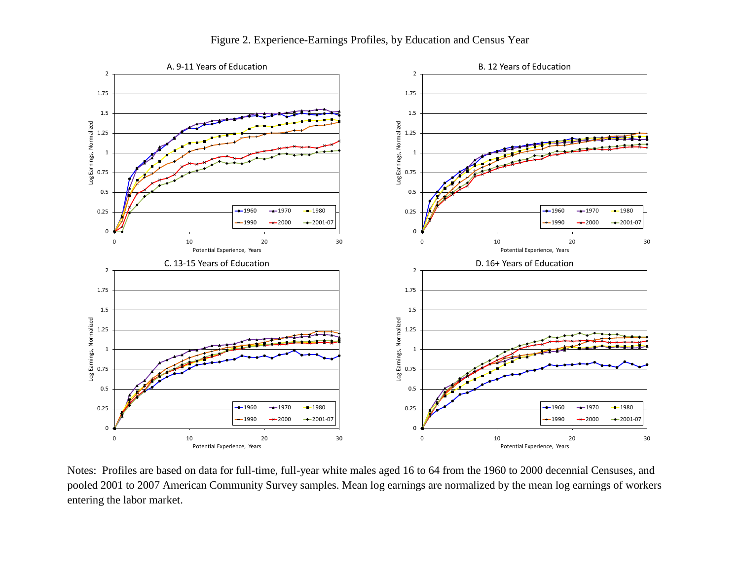

Figure 2. Experience-Earnings Profiles, by Education and Census Year

Notes: Profiles are based on data for full-time, full-year white males aged 16 to 64 from the 1960 to 2000 decennial Censuses, and pooled 2001 to 2007 American Community Survey samples. Mean log earnings are normalized by the mean log earnings of workers entering the labor market.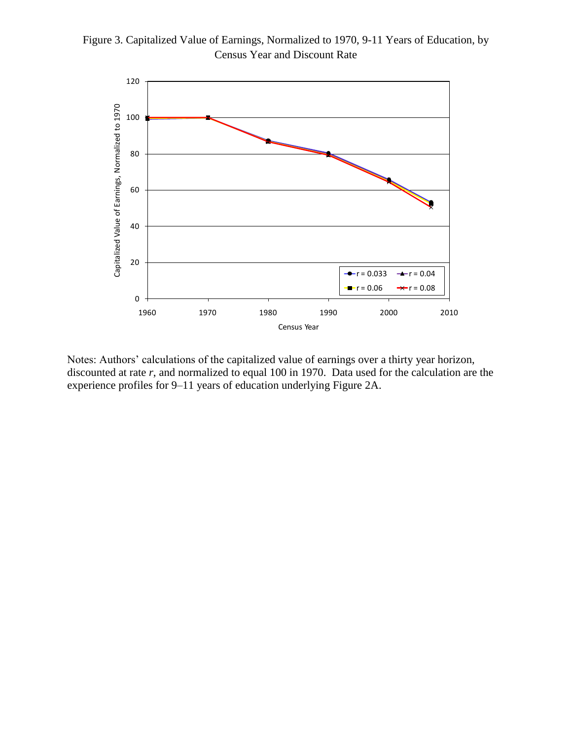



Notes: Authors' calculations of the capitalized value of earnings over a thirty year horizon, discounted at rate *r*, and normalized to equal 100 in 1970. Data used for the calculation are the experience profiles for 9–11 years of education underlying Figure 2A.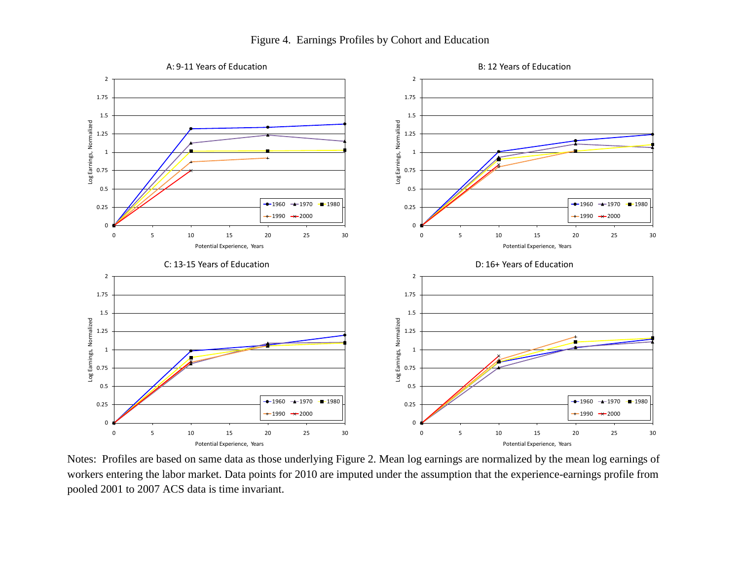

Figure 4. Earnings Profiles by Cohort and Education

Notes: Profiles are based on same data as those underlying Figure 2. Mean log earnings are normalized by the mean log earnings of workers entering the labor market. Data points for 2010 are imputed under the assumption that the experience-earnings profile from pooled 2001 to 2007 ACS data is time invariant.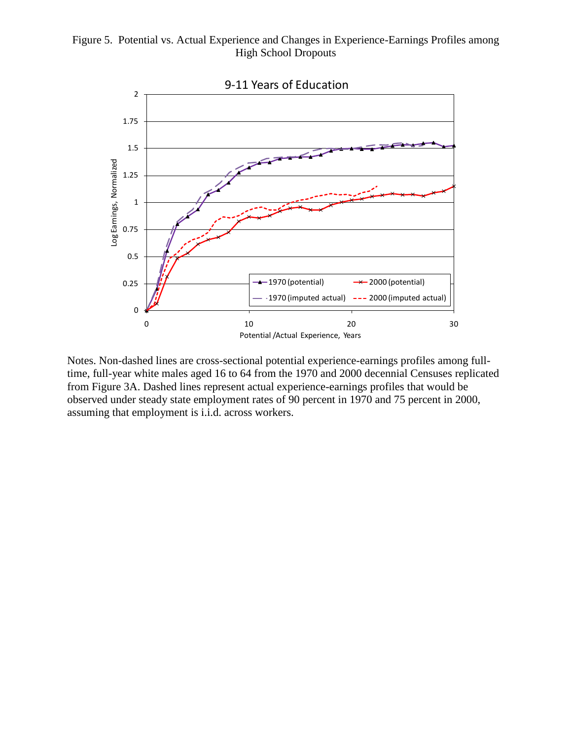#### Figure 5. Potential vs. Actual Experience and Changes in Experience-Earnings Profiles among High School Dropouts



Notes. Non-dashed lines are cross-sectional potential experience-earnings profiles among fulltime, full-year white males aged 16 to 64 from the 1970 and 2000 decennial Censuses replicated from Figure 3A. Dashed lines represent actual experience-earnings profiles that would be observed under steady state employment rates of 90 percent in 1970 and 75 percent in 2000, assuming that employment is i.i.d. across workers.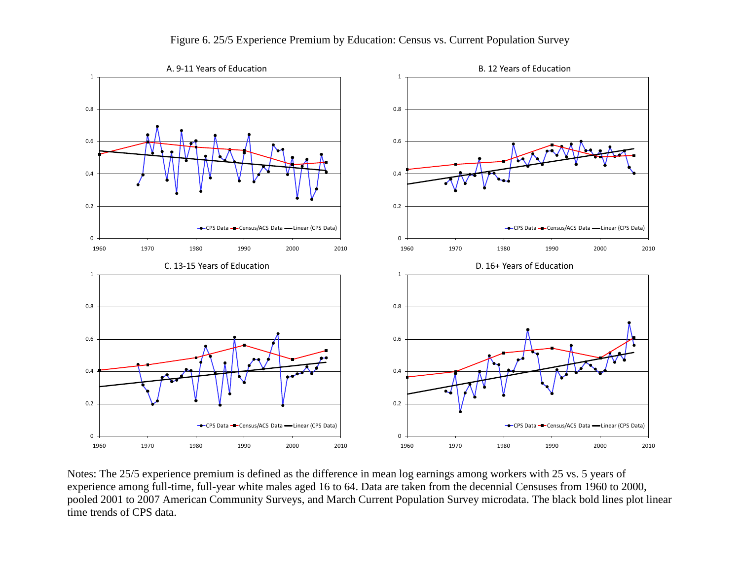

Figure 6. 25/5 Experience Premium by Education: Census vs. Current Population Survey

Notes: The 25/5 experience premium is defined as the difference in mean log earnings among workers with 25 vs. 5 years of experience among full-time, full-year white males aged 16 to 64. Data are taken from the decennial Censuses from 1960 to 2000, pooled 2001 to 2007 American Community Surveys, and March Current Population Survey microdata. The black bold lines plot linear time trends of CPS data.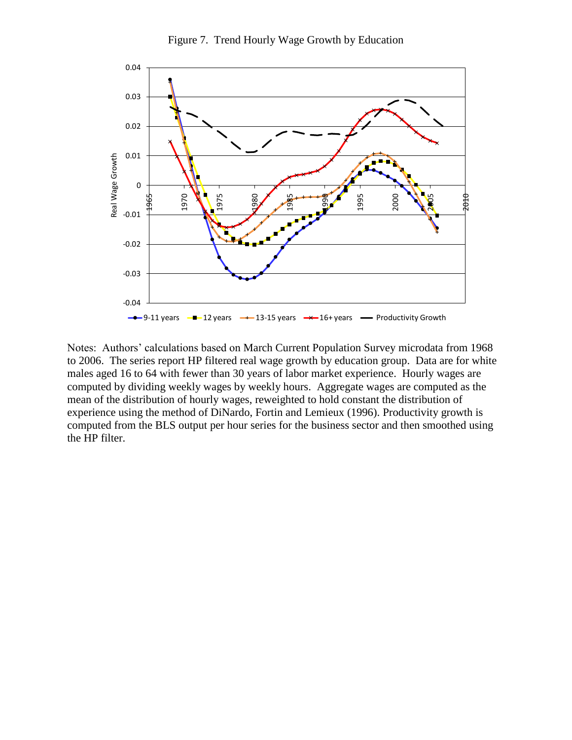

Figure 7. Trend Hourly Wage Growth by Education

Notes: Authors' calculations based on March Current Population Survey microdata from 1968 to 2006. The series report HP filtered real wage growth by education group. Data are for white males aged 16 to 64 with fewer than 30 years of labor market experience. Hourly wages are computed by dividing weekly wages by weekly hours. Aggregate wages are computed as the mean of the distribution of hourly wages, reweighted to hold constant the distribution of experience using the method of DiNardo, Fortin and Lemieux (1996). Productivity growth is computed from the BLS output per hour series for the business sector and then smoothed using the HP filter.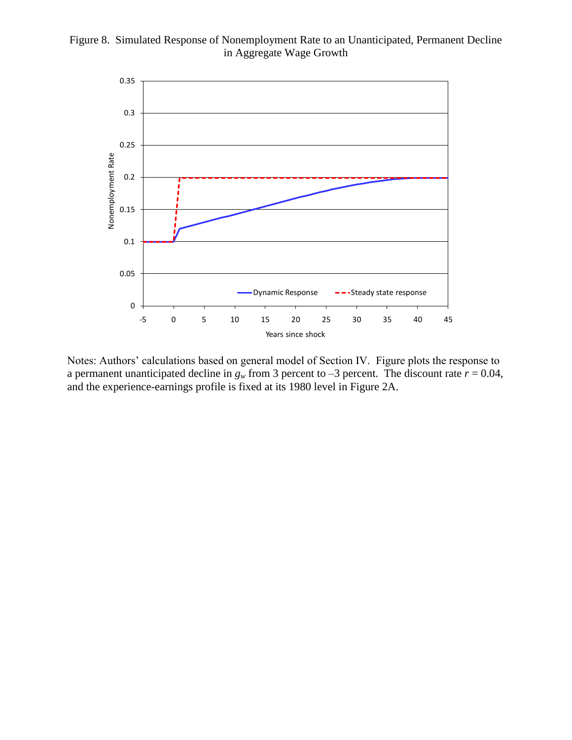#### Figure 8. Simulated Response of Nonemployment Rate to an Unanticipated, Permanent Decline in Aggregate Wage Growth



Notes: Authors' calculations based on general model of Section IV. Figure plots the response to a permanent unanticipated decline in  $g_w$  from 3 percent to –3 percent. The discount rate  $r = 0.04$ , and the experience-earnings profile is fixed at its 1980 level in Figure 2A.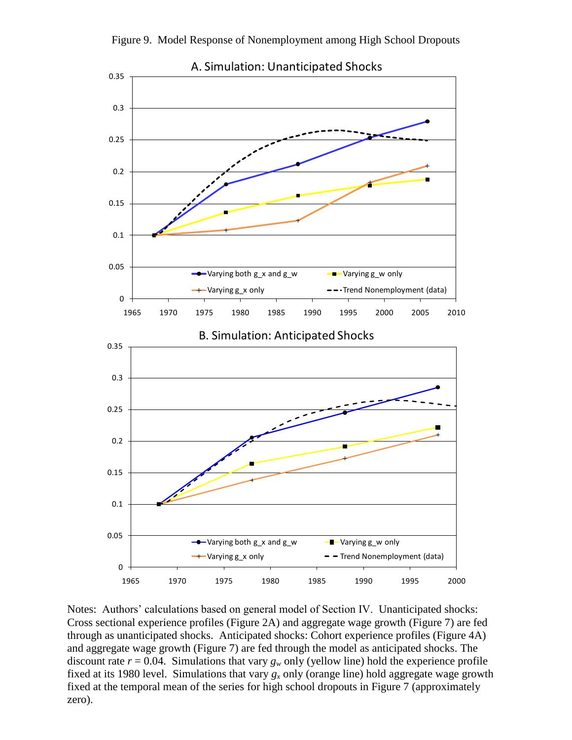

Figure 9. Model Response of Nonemployment among High School Dropouts

Notes: Authors' calculations based on general model of Section IV. Unanticipated shocks: Cross sectional experience profiles (Figure 2A) and aggregate wage growth (Figure 7) are fed through as unanticipated shocks. Anticipated shocks: Cohort experience profiles (Figure 4A) and aggregate wage growth (Figure 7) are fed through the model as anticipated shocks. The discount rate  $r = 0.04$ . Simulations that vary  $g_w$  only (yellow line) hold the experience profile fixed at its 1980 level. Simulations that vary  $g_x$  only (orange line) hold aggregate wage growth fixed at the temporal mean of the series for high school dropouts in Figure 7 (approximately zero).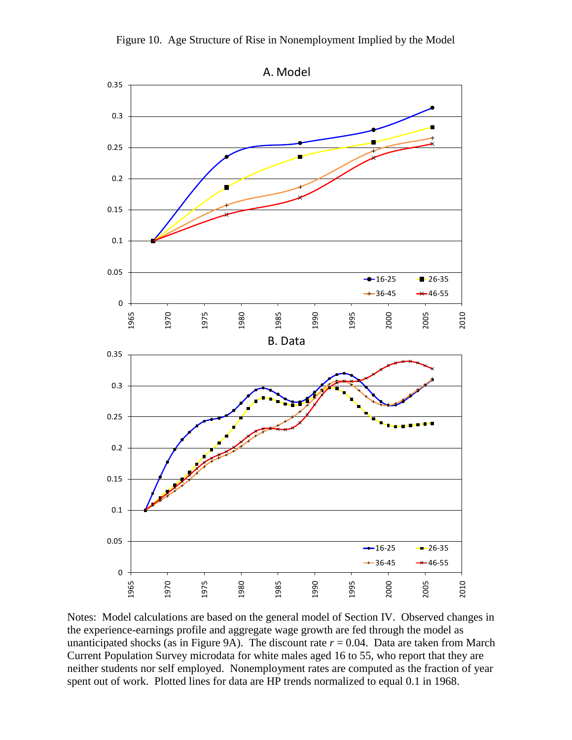

Notes: Model calculations are based on the general model of Section IV. Observed changes in the experience-earnings profile and aggregate wage growth are fed through the model as unanticipated shocks (as in Figure 9A). The discount rate  $r = 0.04$ . Data are taken from March Current Population Survey microdata for white males aged 16 to 55, who report that they are neither students nor self employed. Nonemployment rates are computed as the fraction of year spent out of work. Plotted lines for data are HP trends normalized to equal 0.1 in 1968.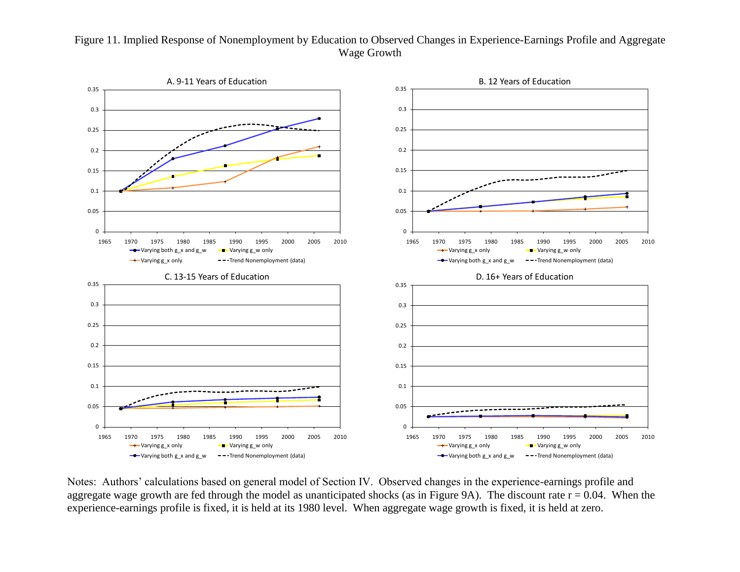#### Figure 11. Implied Response of Nonemployment by Education to Observed Changes in Experience-Earnings Profile and Aggregate Wage Growth



Notes: Authors' calculations based on general model of Section IV. Observed changes in the experience-earnings profile and aggregate wage growth are fed through the model as unanticipated shocks (as in Figure 9A). The discount rate  $r = 0.04$ . When the experience-earnings profile is fixed, it is held at its 1980 level. When aggregate wage growth is fixed, it is held at zero.